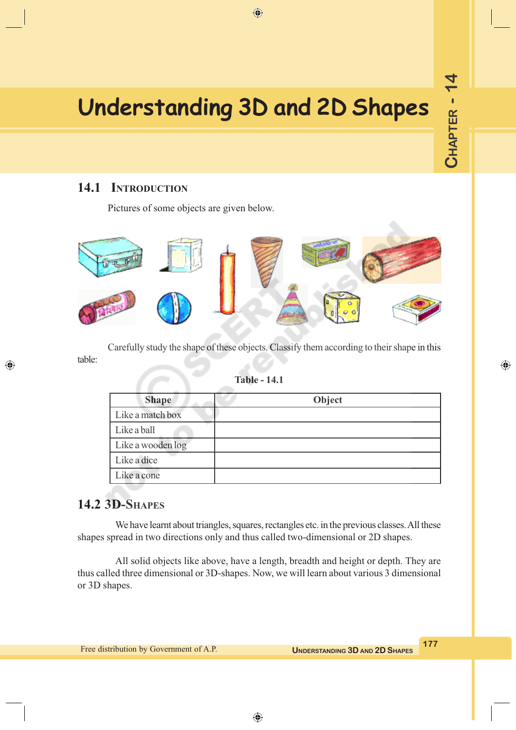# **Understanding 3D and 2D Shapes**

 $\bigoplus$ 

## **14.1 INTRODUCTION**

Pictures of some objects are given below.



Carefully study the shape of these objects. Classify them according to their shape in this table:

#### **Table - 14.1**

| <b>Shape</b>      | Object |
|-------------------|--------|
| Like a match box  |        |
| Like a ball       |        |
| Like a wooden log |        |
| Like a dice       |        |
| Like a cone       |        |

# **14.2 3D-SHAPES**

◈

We have learnt about triangles, squares, rectangles etc. in the previous classes. All these shapes spread in two directions only and thus called two-dimensional or 2D shapes.

All solid objects like above, have a length, breadth and height or depth. They are thus called three dimensional or 3D-shapes. Now, we will learn about various 3 dimensional or 3D shapes.

**CHAPTER - 14**

CHAPTER - 14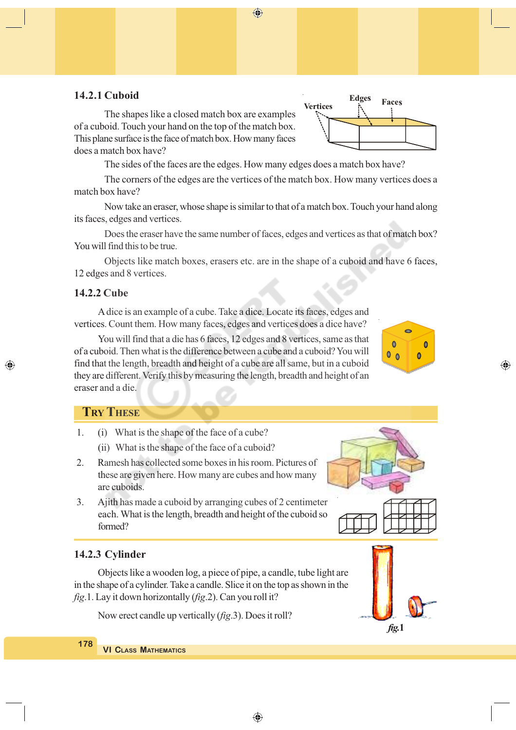#### **14.2.1 Cuboid**

The shapes like a closed match box are examples of a cuboid. Touch your hand on the top of the match box. This plane surface is the face of match box. How many faces does a match box have?

The sides of the faces are the edges. How many edges does a match box have?

**Edge Face Vertices**

**Edges** 

**Faces** 

The corners of the edges are the vertices of the match box. How many vertices does a match box have?

Now take an eraser, whose shape is similar to that of a match box. Touch your hand along its faces, edges and vertices.

Does the eraser have the same number of faces, edges and vertices as that of match box? You will find this to be true.

Objects like match boxes, erasers etc. are in the shape of a cuboid and have 6 faces, 12 edges and 8 vertices.

### **14.2.2 Cube**

◈

A dice is an example of a cube. Take a dice. Locate its faces, edges and vertices. Count them. How many faces, edges and vertices does a dice have?

You will find that a die has 6 faces, 12 edges and 8 vertices, same as that of a cuboid. Then what is the difference between a cube and a cuboid? You will find that the length, breadth and height of a cube are all same, but in a cuboid they are different. Verify this by measuring the length, breadth and height of an eraser and a die.

#### **TRY THESE**

- 1. (i) What is the shape of the face of a cube?
	- (ii) What is the shape of the face of a cuboid?
- 2. Ramesh has collected some boxes in his room. Pictures of these are given here. How many are cubes and how many are cuboids.
- 3. Ajith has made a cuboid by arranging cubes of 2 centimeter each. What is the length, breadth and height of the cuboid so formed?

#### **14.2.3 Cylinder**

Objects like a wooden log, a piece of pipe, a candle, tube light are in the shape of a cylinder. Take a candle. Slice it on the top as shown in the *fig*.1. Lay it down horizontally (*fig*.2). Can you roll it?

Now erect candle up vertically (*fig*.3). Does it roll?







⊕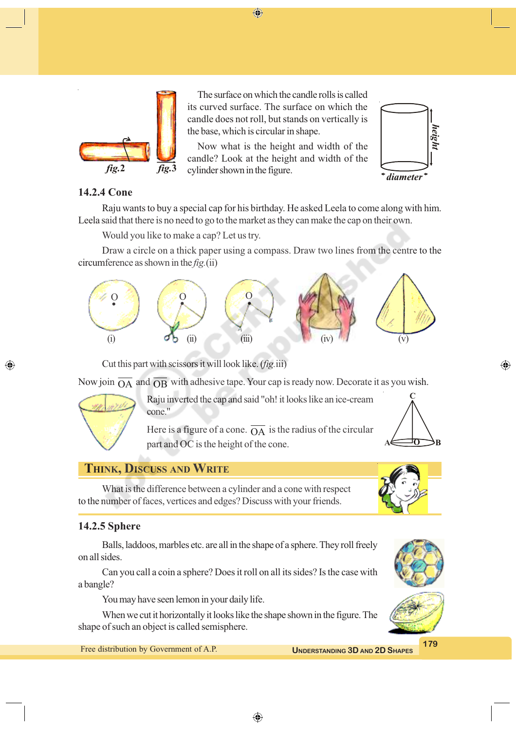

The surface on which the candle rolls is called its curved surface. The surface on which the candle does not roll, but stands on vertically is the base, which is circular in shape.

⊕

Now what is the height and width of the candle? Look at the height and width of the cylinder shown in the figure.



### **14.2.4 Cone**

Raju wants to buy a special cap for his birthday. He asked Leela to come along with him. Leela said that there is no need to go to the market as they can make the cap on their own.

Would you like to make a cap? Let us try.

Draw a circle on a thick paper using a compass. Draw two lines from the centre to the circumference as shown in the *fig.*(ii)



Cut this part with scissors it will look like. (*fig.*iii)

Now join  $\overline{OA}$  and  $\overline{OB}$  with adhesive tape. Your cap is ready now. Decorate it as you wish.



◈

Raju inverted the cap and said "oh! it looks like an ice-cream cone."

Here is a figure of a cone.  $\overline{OA}$  is the radius of the circular part and OC is the height of the cone.



⊕

# **THINK, DISCUSS AND WRITE**

What is the difference between a cylinder and a cone with respect to the number of faces, vertices and edges? Discuss with your friends.

## **14.2.5 Sphere**

Balls, laddoos, marbles etc. are all in the shape of a sphere. They roll freely on all sides.

Can you call a coin a sphere? Does it roll on all its sides? Is the case with a bangle?

You may have seen lemon in your daily life.

When we cut it horizontally it looks like the shape shown in the figure. The shape of such an object is called semisphere.

# **179** Free distribution by Government of A.P. **UNDERSTANDING** 3D AND 2D SHAPES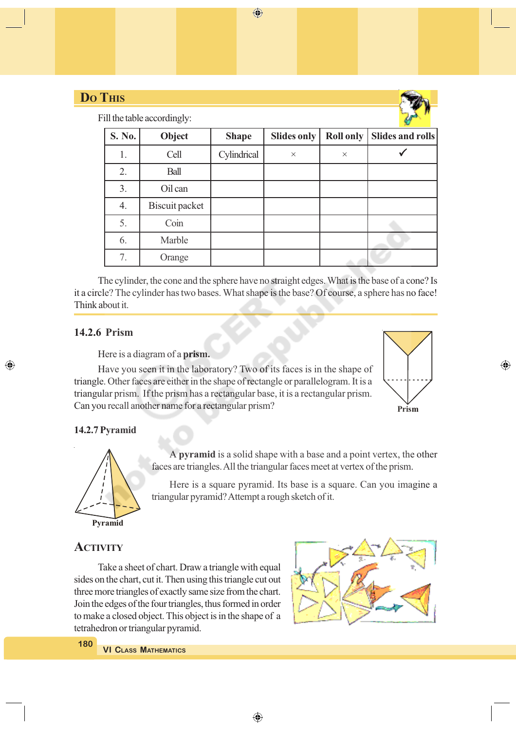| <b>Do THIS</b> |        |                             |              |                    |                  |                         |
|----------------|--------|-----------------------------|--------------|--------------------|------------------|-------------------------|
|                |        | Fill the table accordingly: |              |                    |                  |                         |
|                | S. No. | Object                      | <b>Shape</b> | <b>Slides only</b> | <b>Roll only</b> | <b>Slides and rolls</b> |
|                | 1.     | Cell                        | Cylindrical  | $\times$           | $\times$         |                         |
|                | 2.     | Ball                        |              |                    |                  |                         |
|                | 3.     | Oil can                     |              |                    |                  |                         |
|                | 4.     | Biscuit packet              |              |                    |                  |                         |
|                | 5.     | Coin                        |              |                    |                  |                         |
|                | 6.     | Marble                      |              |                    |                  |                         |
|                | 7.     | Orange                      |              |                    |                  |                         |

The cylinder, the cone and the sphere have no straight edges. What is the base of a cone? Is it a circle? The cylinder has two bases. What shape is the base? Of course, a sphere has no face! Think about it.

#### **14.2.6 Prism**

◈

Here is a diagram of a **prism.**

Have you seen it in the laboratory? Two of its faces is in the shape of triangle. Other faces are either in the shape of rectangle or parallelogram. It is a triangular prism. If the prism has a rectangular base, it is a rectangular prism. Can you recall another name for a rectangular prism?



◈

#### **14.2.7 Pyramid**



A **pyramid** is a solid shape with a base and a point vertex, the other faces are triangles. All the triangular faces meet at vertex of the prism.

Here is a square pyramid. Its base is a square. Can you imagine a triangular pyramid? Attempt a rough sketch of it.

### **ACTIVITY**

Take a sheet of chart. Draw a triangle with equal sides on the chart, cut it. Then using this triangle cut out three more triangles of exactly same size from the chart. Join the edges of the four triangles, thus formed in order to make a closed object. This object is in the shape of a tetrahedron or triangular pyramid.

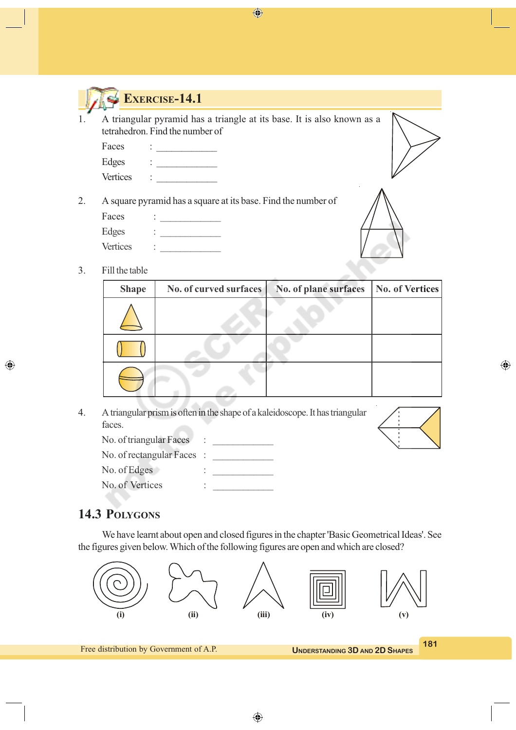



# **EXERCISE-14.1**

1. A triangular pyramid has a triangle at its base. It is also known as a tetrahedron. Find the number of

| Faces           |  |
|-----------------|--|
| Edges           |  |
| <b>Vertices</b> |  |

2. A square pyramid has a square at its base. Find the number of

| Faces           |  |
|-----------------|--|
| Edges           |  |
| <b>Vertices</b> |  |



◈

3. Fill the table

◈

| <b>Shape</b> | No. of curved surfaces | No. of plane surfaces | No. of Vertices |
|--------------|------------------------|-----------------------|-----------------|
|              |                        |                       |                 |
|              |                        |                       |                 |
|              |                        |                       |                 |

4. A triangular prism is often in the shape of a kaleidoscope. It has triangular faces.

| No. of triangular Faces  |        |  |
|--------------------------|--------|--|
| No. of rectangular Faces |        |  |
| No. of Edges             | ٠<br>٠ |  |
| No. of Vertices          | ٠      |  |

# **14.3 POLYGONS**

We have learnt about open and closed figures in the chapter 'Basic Geometrical Ideas'. See the figures given below. Which of the following figures are open and which are closed?



⊕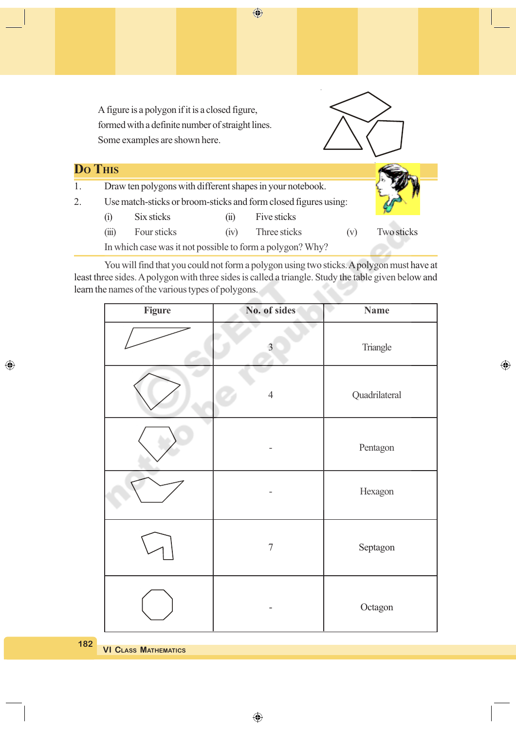

You will find that you could not form a polygon using two sticks. A polygon must have at least three sides. A polygon with three sides is called a triangle. Study the table given below and learn the names of the various types of polygons.

| <b>Figure</b> | No. of sides     | <b>Name</b>   |
|---------------|------------------|---------------|
|               | $\overline{3}$   | Triangle      |
|               | $\overline{4}$   | Quadrilateral |
|               |                  | Pentagon      |
|               |                  | Hexagon       |
|               | $\boldsymbol{7}$ | Septagon      |
|               |                  | Octagon       |

 $\bigoplus$ 

**182**

◈

**VI CLASS MATHEMATICS**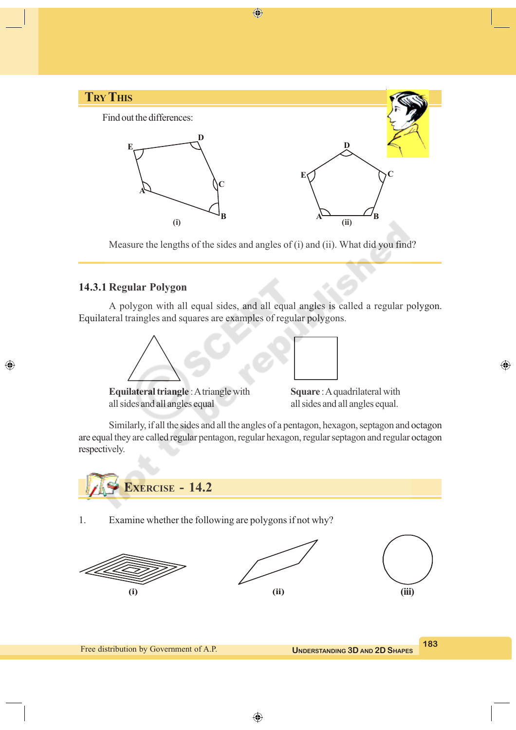

Measure the lengths of the sides and angles of (i) and (ii). What did you find?

#### **14.3.1 Regular Polygon**

◈

A polygon with all equal sides, and all equal angles is called a regular polygon. Equilateral traingles and squares are examples of regular polygons.





**Equilateral triangle** : A triangle with **Square** : A quadrilateral with all sides and all angles equal all sides and all angles equal.

Similarly, if all the sides and all the angles of a pentagon, hexagon, septagon and octagon are equal they are called regular pentagon, regular hexagon, regular septagon and regular octagon respectively.



1. Examine whether the following are polygons if not why?





⊕

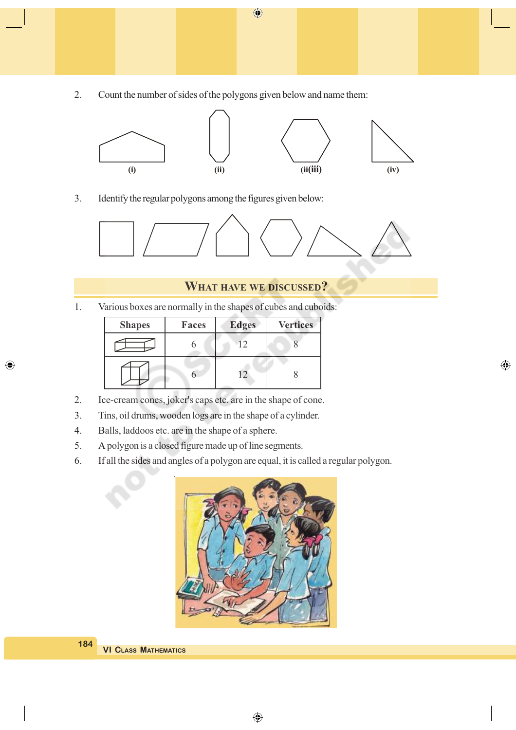2. Count the number of sides of the polygons given below and name them:



 $\bigoplus$ 

3. Identify the regular polygons among the figures given below:



#### **WHAT HAVE WE DISCUSSED?**

 $\bigoplus$ 

1. Various boxes are normally in the shapes of cubes and cuboids:

| <b>Shapes</b> | Faces | <b>Edges</b> | <b>Vertices</b> |
|---------------|-------|--------------|-----------------|
|               |       | Ľ            |                 |
|               |       | 12           |                 |

- 2. Ice-cream cones, joker's caps etc. are in the shape of cone.
- 3. Tins, oil drums, wooden logs are in the shape of a cylinder.
- 4. Balls, laddoos etc. are in the shape of a sphere.

◈

- 5. A polygon is a closed figure made up of line segments.
- 6. If all the sides and angles of a polygon are equal, it is called a regular polygon.



**VI CLASS MATHEMATICS 184**

⊕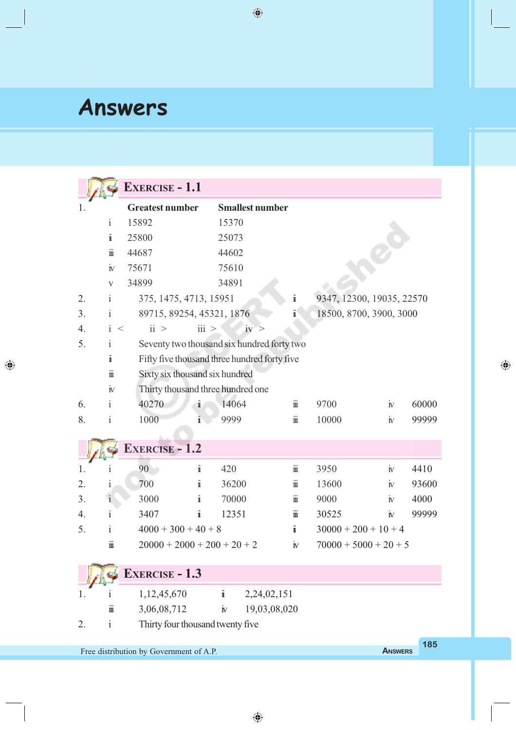# **Answers**

 $\bigoplus$ 

|    |                                                                  | <b>EXERCISE - 1.1</b>                        |                           |                        |                      |                           |                    |       |  |
|----|------------------------------------------------------------------|----------------------------------------------|---------------------------|------------------------|----------------------|---------------------------|--------------------|-------|--|
| 1. |                                                                  | <b>Greatest number</b>                       |                           | <b>Smallest number</b> |                      |                           |                    |       |  |
|    | $\mathbf{i}$                                                     | 15892<br>15370                               |                           |                        |                      |                           |                    |       |  |
|    | i                                                                | 25800                                        | 25073                     |                        |                      |                           |                    |       |  |
|    | $\ddot{\mathbb{I}}$                                              | 44687                                        | 44602                     |                        |                      |                           |                    |       |  |
|    | $\dot{\mathbb{N}}$                                               | 75671                                        | 75610                     |                        |                      |                           |                    |       |  |
|    | $\mathbf{V}$                                                     | 34899                                        | 34891                     |                        |                      |                           |                    |       |  |
| 2. | $\mathbf{i}$                                                     | 375, 1475, 4713, 15951                       |                           |                        | i                    | 9347, 12300, 19035, 22570 |                    |       |  |
| 3. | i                                                                | 89715, 89254, 45321, 1876                    |                           |                        | ï                    | 18500, 8700, 3900, 3000   |                    |       |  |
| 4. | $\mathbf{i}$<br>$\,<\,$                                          | ii >                                         | $\overline{\text{iii}}$ > | iv >                   |                      |                           |                    |       |  |
| 5. | Ť                                                                | Seventy two thousand six hundred forty two   |                           |                        |                      |                           |                    |       |  |
|    | $\ddot{\mathbf{i}}$                                              | Fifty five thousand three hundred forty five |                           |                        |                      |                           |                    |       |  |
|    | $\mathbf{m}$                                                     | Sixty six thousand six hundred               |                           |                        |                      |                           |                    |       |  |
|    | $\dot{\mathbf{N}}$                                               | Thirty thousand three hundred one            |                           |                        |                      |                           |                    |       |  |
| 6. | $\mathbf{i}$                                                     | 40270<br>ī                                   | 14064                     |                        | $\ddot{\mathbb{I}}$  | 9700                      | $\dot{\mathbb{N}}$ | 60000 |  |
| 8. | $\mathbf{i}$                                                     | 1000<br>1                                    | 9999                      |                        | $\ddot{\mathbb{m}}$  | 10000                     | $\dot{\mathbb{N}}$ | 99999 |  |
|    |                                                                  |                                              |                           |                        |                      |                           |                    |       |  |
|    |                                                                  | <b>EXERCISE - 1.2</b>                        |                           |                        |                      |                           |                    |       |  |
| 1. |                                                                  | i<br>90                                      | 420                       |                        | $\ddot{\mathbf{m}}$  | 3950                      | $\dot{\mathbf{N}}$ | 4410  |  |
| 2. | 1                                                                | 700<br>i                                     | 36200                     |                        | $\dddot{\text{m}}$   | 13600                     | $\rm \dot{I}$      | 93600 |  |
| 3. | $\mathbf{i}$                                                     | 3000<br>Ï                                    | 70000                     |                        | $\dddot{\mathbf{m}}$ | 9000                      | $\mathbb{N}$       | 4000  |  |
| 4. | i                                                                | 3407<br>1                                    | 12351                     |                        | $\mathbf{m}$         | 30525                     | $\mathbb{N}$       | 99999 |  |
| 5. | $\mathbf{i}$                                                     | $4000 + 300 + 40 + 8$                        |                           |                        | $\ddot{\mathbf{I}}$  | $30000 + 200 + 10 + 4$    |                    |       |  |
|    | $\ddot{\mathbf{m}}$                                              | $20000 + 2000 + 200 + 20 + 2$                |                           |                        | $\dot{\mathbb{N}}$   | $70000 + 5000 + 20 + 5$   |                    |       |  |
|    |                                                                  | <b>EXERCISE - 1.3</b>                        |                           |                        |                      |                           |                    |       |  |
|    |                                                                  |                                              |                           |                        |                      |                           |                    |       |  |
| L  | $\ddot{\mathbb{I}}$                                              | 1,12,45,670                                  | $\ddot{\mathbf{1}}$       | 2,24,02,151            |                      |                           |                    |       |  |
|    |                                                                  | 3,06,08,712                                  | $\dot{\mathbf{N}}$        | 19,03,08,020           |                      |                           |                    |       |  |
| 2. | $\mathbf{i}$<br>Thirty four thousand twenty five                 |                                              |                           |                        |                      |                           |                    |       |  |
|    | 185<br>Free distribution by Government of A.P.<br><b>ANSWERS</b> |                                              |                           |                        |                      |                           |                    |       |  |

 $\bigoplus$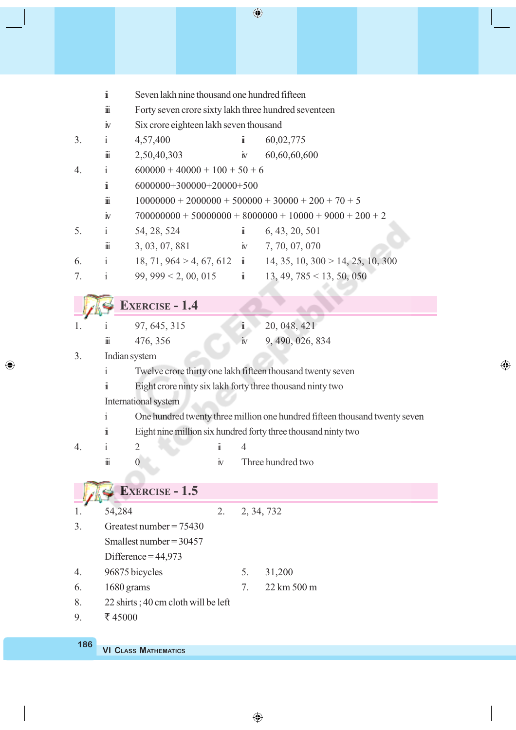|    | $\ddot{\mathbf{1}}$                 | Seven lakh nine thousand one hundred fifteen         |              |                     |                                                                            |  |  |  |  |  |
|----|-------------------------------------|------------------------------------------------------|--------------|---------------------|----------------------------------------------------------------------------|--|--|--|--|--|
|    | $\ddot{\mathbb{I}}$                 | Forty seven crore sixty lakh three hundred seventeen |              |                     |                                                                            |  |  |  |  |  |
|    | $\dot{\mathbf{N}}$                  | Six crore eighteen lakh seven thousand               |              |                     |                                                                            |  |  |  |  |  |
| 3. | i.                                  | 4,57,400                                             |              | Ť                   | 60,02,775                                                                  |  |  |  |  |  |
|    | $\ddot{\text{m}}$                   | 2,50,40,303                                          |              | $\dot{\mathbf{N}}$  | 60,60,60,600                                                               |  |  |  |  |  |
| 4. | $\mathbf{i}$                        | $600000 + 40000 + 100 + 50 + 6$                      |              |                     |                                                                            |  |  |  |  |  |
|    | $\ddot{\mathbf{I}}$                 | $6000000+300000+20000+500$                           |              |                     |                                                                            |  |  |  |  |  |
|    | $\ddot{\text{m}}$                   |                                                      |              |                     | $10000000 + 20000000 + 500000 + 30000 + 200 + 70 + 5$                      |  |  |  |  |  |
|    | $\dot{\mathbf{N}}$                  |                                                      |              |                     | $700000000 + 50000000 + 8000000 + 10000 + 9000 + 200 + 2$                  |  |  |  |  |  |
| 5. | $\mathbf{i}$                        | 54, 28, 524                                          |              | $\ddot{\mathbf{I}}$ | 6, 43, 20, 501                                                             |  |  |  |  |  |
|    | $\ddot{\mathbb{I}}$                 | 3, 03, 07, 881                                       |              |                     | $\dot{N}$ 7, 70, 07, 070                                                   |  |  |  |  |  |
| 6. | $\mathbf{i}$                        |                                                      |              |                     | 18, 71, 964 > 4, 67, 612 i 14, 35, 10, 300 > 14, 25, 10, 300               |  |  |  |  |  |
| 7. | $\mathbf{i}$                        |                                                      |              |                     | 99, 999 < 2, 00, 015 $\mathbf{i}$ 13, 49, 785 < 13, 50, 050                |  |  |  |  |  |
|    |                                     |                                                      |              |                     |                                                                            |  |  |  |  |  |
|    |                                     | <b>EXERCISE - 1.4</b>                                |              |                     |                                                                            |  |  |  |  |  |
| 1. | $\mathbf{1}$                        | 97, 645, 315                                         |              | $\ddot{i}$          | 20, 048, 421                                                               |  |  |  |  |  |
|    | $\dddot{\text{m}}$                  | 476, 356                                             |              | $\rm \dot{N}$       | 9, 490, 026, 834                                                           |  |  |  |  |  |
| 3. |                                     | Indian system                                        |              |                     |                                                                            |  |  |  |  |  |
|    | i                                   |                                                      |              |                     | Twelve crore thirty one lakh fifteen thousand twenty seven                 |  |  |  |  |  |
|    | i                                   |                                                      |              |                     | Eight crore ninty six lakh forty three thousand ninty two                  |  |  |  |  |  |
|    |                                     | International system                                 |              |                     |                                                                            |  |  |  |  |  |
|    | $\mathbf{i}$                        |                                                      |              |                     | One hundred twenty three million one hundred fifteen thousand twenty seven |  |  |  |  |  |
|    | $\ddot{\mathbf{i}}$                 |                                                      |              |                     | Eight nine million six hundred forty three thousand ninty two              |  |  |  |  |  |
| 4. | i                                   | $\overline{2}$                                       | i            | $\overline{4}$      |                                                                            |  |  |  |  |  |
|    | $\dddot{\text{m}}$                  | $\boldsymbol{0}$                                     | $\mathbf{N}$ |                     | Three hundred two                                                          |  |  |  |  |  |
|    |                                     |                                                      |              |                     |                                                                            |  |  |  |  |  |
|    |                                     | <b>EXERCISE - 1.5</b>                                |              |                     |                                                                            |  |  |  |  |  |
|    | 54,284                              |                                                      | 2.           |                     | 2, 34, 732                                                                 |  |  |  |  |  |
| 3. |                                     | Greatest number = $75430$                            |              |                     |                                                                            |  |  |  |  |  |
|    |                                     | Smallest number = $30457$                            |              |                     |                                                                            |  |  |  |  |  |
|    |                                     | Difference = $44,973$                                |              |                     |                                                                            |  |  |  |  |  |
| 4. |                                     | 96875 bicycles                                       |              | 5.                  | 31,200                                                                     |  |  |  |  |  |
| 6. | 1680 grams                          |                                                      | 7.           | 22 km 500 m         |                                                                            |  |  |  |  |  |
| 8. | 22 shirts; 40 cm cloth will be left |                                                      |              |                     |                                                                            |  |  |  |  |  |
| 9. | ₹45000                              |                                                      |              |                     |                                                                            |  |  |  |  |  |
|    |                                     |                                                      |              |                     |                                                                            |  |  |  |  |  |

 $\bigoplus$ 

 $\bigoplus$ 

**VI CLASS MATHEMATICS 186**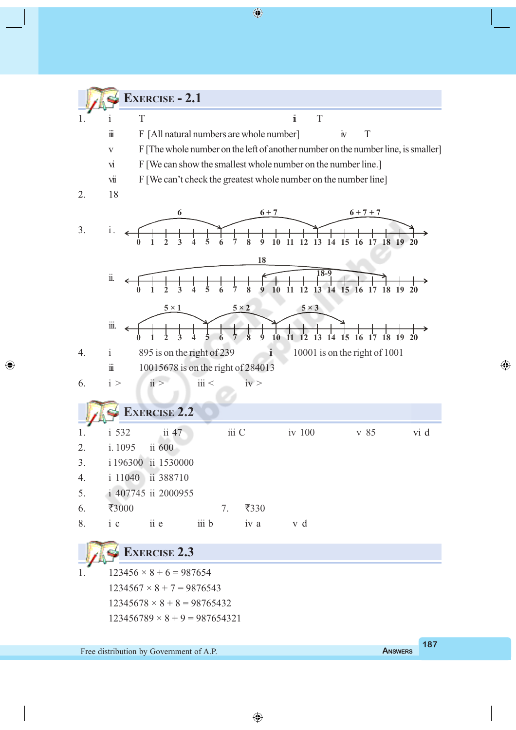

⊕

Free distribution by Government of A.P. **A**NSWERS

◈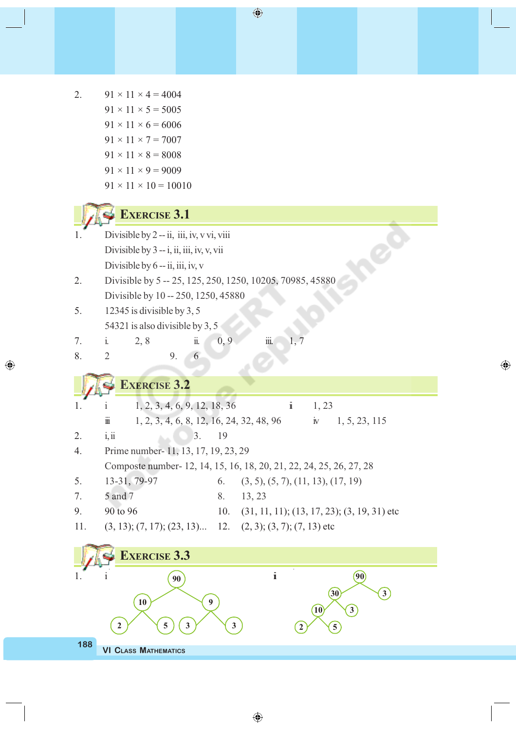2.  $91 \times 11 \times 4 = 4004$ 

 $\bigcirc$ 

|     | $91 \times 11 \times 5 = 5005$                                                                          |
|-----|---------------------------------------------------------------------------------------------------------|
|     | $91 \times 11 \times 6 = 6006$                                                                          |
|     | $91 \times 11 \times 7 = 7007$                                                                          |
|     | $91 \times 11 \times 8 = 8008$                                                                          |
|     | $91 \times 11 \times 9 = 9009$                                                                          |
|     | $91 \times 11 \times 10 = 10010$                                                                        |
|     |                                                                                                         |
|     | <b>EXERCISE 3.1</b>                                                                                     |
|     | Divisible by 2 -- ii, iii, iv, v vi, viii                                                               |
|     | Divisible by 3 -- i, ii, iii, iv, v, vii                                                                |
|     | Divisible by $6 - ii$ , iii, iv, v                                                                      |
| 2.  | Divisible by 5 -- 25, 125, 250, 1250, 10205, 70985, 45880                                               |
|     | Divisible by 10 -- 250, 1250, 45880                                                                     |
| 5.  | 12345 is divisible by 3, 5                                                                              |
|     | 54321 is also divisible by 3, 5                                                                         |
| 7.  | iii.<br>0, 9<br>ii.<br>$\mathbf{i}$ .<br>2,8<br>1, 7                                                    |
| 8.  | 6<br>$\overline{2}$<br>9.                                                                               |
|     |                                                                                                         |
|     | <b>EXERCISE 3.2</b>                                                                                     |
| 1.  | 1, 2, 3, 4, 6, 9, 12, 18, 36<br>i<br>1, 23                                                              |
|     | 1, 2, 3, 4, 6, 8, 12, 16, 24, 32, 48, 96<br>$\dot{\mathbb{N}}$<br>1, 5, 23, 115<br>$\dddot{\mathbf{m}}$ |
| 2.  | 3.<br>19<br>i, ii                                                                                       |
| 4.  | Prime number-11, 13, 17, 19, 23, 29                                                                     |
|     | Composte number - 12, 14, 15, 16, 18, 20, 21, 22, 24, 25, 26, 27, 28                                    |
| 5.  | 13-31, 79-97<br>(3, 5), (5, 7), (11, 13), (17, 19)<br>6.                                                |
| 7.  | 5 and 7<br>8.<br>13, 23                                                                                 |
| 9.  | 90 to 96<br>10.<br>$(31, 11, 11); (13, 17, 23); (3, 19, 31)$ etc                                        |
| 11. | $(3, 13)$ ; $(7, 17)$ ; $(23, 13)$ 12. $(2, 3)$ ; $(3, 7)$ ; $(7, 13)$ etc                              |
|     |                                                                                                         |
|     | <b>EXERCISE 3.3</b>                                                                                     |
|     | $\ddot{\rm\bf{i}}$<br>90<br>90                                                                          |
|     | 30<br>3 <sup>2</sup>                                                                                    |
|     | $\boldsymbol{9}$<br>10<br>$\left 3\right\rangle$<br>$\overline{10}$                                     |
|     | 3<br>$\mathbf{3}$<br>$\boldsymbol{2}$<br>5<br>$\overline{5}$<br>$\boldsymbol{2}$                        |
| 188 | <b>VI CLASS MATHEMATICS</b>                                                                             |
|     |                                                                                                         |

 $\bigoplus$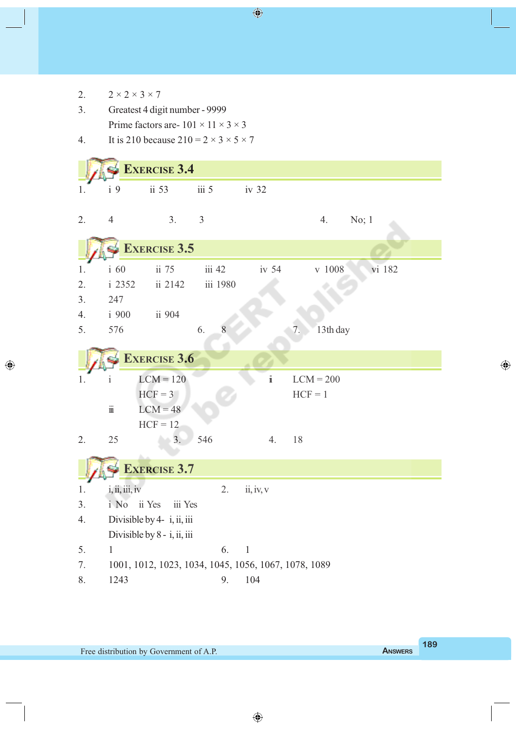| 2. | $2 \times 2 \times 3 \times 7$                         |                             |                  |                                                      |                    |  |  |  |  |
|----|--------------------------------------------------------|-----------------------------|------------------|------------------------------------------------------|--------------------|--|--|--|--|
| 3. | Greatest 4 digit number - 9999                         |                             |                  |                                                      |                    |  |  |  |  |
|    | Prime factors are - $101 \times 11 \times 3 \times 3$  |                             |                  |                                                      |                    |  |  |  |  |
| 4. | It is 210 because $210 = 2 \times 3 \times 5 \times 7$ |                             |                  |                                                      |                    |  |  |  |  |
|    |                                                        |                             |                  |                                                      |                    |  |  |  |  |
|    |                                                        | <b>EXERCISE 3.4</b>         |                  |                                                      |                    |  |  |  |  |
| 1. | i <sub>9</sub>                                         | ii 53                       | iii <sub>5</sub> | iv 32                                                |                    |  |  |  |  |
|    |                                                        |                             |                  |                                                      |                    |  |  |  |  |
| 2. | $\overline{4}$                                         | 3.                          | $\mathfrak{Z}$   |                                                      | No; 1<br>4.        |  |  |  |  |
|    |                                                        |                             |                  |                                                      |                    |  |  |  |  |
|    |                                                        | <b>EXERCISE 3.5</b>         |                  |                                                      |                    |  |  |  |  |
| 1. | i 60                                                   | ii 75                       | iii 42           | iv <sub>54</sub>                                     | $v$ 1008<br>vi 182 |  |  |  |  |
| 2. | i 2352                                                 | ii 2142                     | iii 1980         |                                                      |                    |  |  |  |  |
| 3. | 247                                                    |                             |                  |                                                      |                    |  |  |  |  |
| 4. | i 900                                                  | ii 904                      |                  |                                                      |                    |  |  |  |  |
| 5. | 576                                                    |                             | 8<br>6.          |                                                      | 13th day<br>7.     |  |  |  |  |
|    |                                                        |                             |                  |                                                      |                    |  |  |  |  |
|    |                                                        | <b>EXERCISE 3.6</b>         |                  |                                                      |                    |  |  |  |  |
| 1. | $\mathbf{1}$                                           | $LCM = 120$                 |                  | $\ddot{\rm{1}}$                                      | $LCM = 200$        |  |  |  |  |
|    |                                                        | $HCF = 3$                   |                  |                                                      | $HCF = 1$          |  |  |  |  |
|    | $\dddot{\text{m}}$                                     | $LCM = 48$                  |                  |                                                      |                    |  |  |  |  |
|    |                                                        | $HCF = 12$                  |                  |                                                      |                    |  |  |  |  |
| 2. | 25                                                     | 3.                          | 546              | 4.                                                   | 18                 |  |  |  |  |
|    |                                                        |                             |                  |                                                      |                    |  |  |  |  |
|    |                                                        | <b>EXERCISE 3.7</b>         |                  |                                                      |                    |  |  |  |  |
| 1. | i, ii, iii, iv                                         |                             | 2.               | ii, iv, v                                            |                    |  |  |  |  |
| 3. | i No                                                   | ii Yes<br>iii Yes           |                  |                                                      |                    |  |  |  |  |
| 4. |                                                        | Divisible by 4- i, ii, iii  |                  |                                                      |                    |  |  |  |  |
|    |                                                        | Divisible by 8 - i, ii, iii |                  |                                                      |                    |  |  |  |  |
| 5. | $\mathbf{1}$                                           |                             | 6.               | $\mathbf{1}$                                         |                    |  |  |  |  |
| 7. |                                                        |                             |                  | 1001, 1012, 1023, 1034, 1045, 1056, 1067, 1078, 1089 |                    |  |  |  |  |
| 8. | 1243                                                   |                             | 9.               | 104                                                  |                    |  |  |  |  |

 $\bigoplus$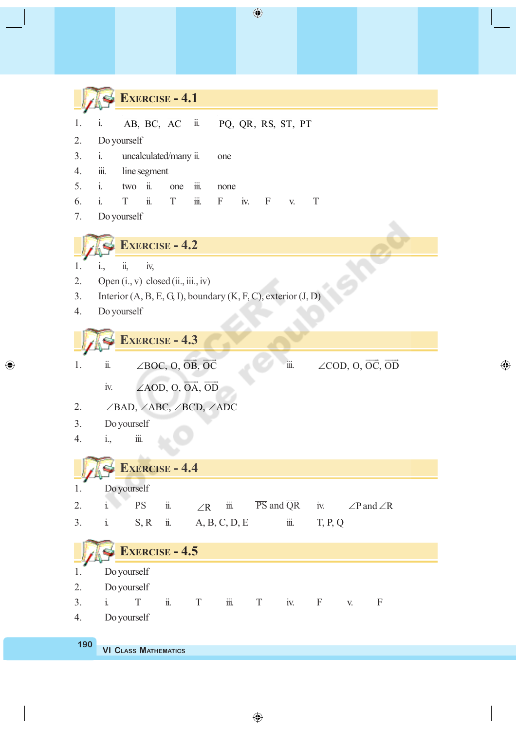**EXERCISE - 4.1** 1. i.  $\overline{AB}$ ,  $\overline{BC}$ ,  $\overline{AC}$  ii.  $\overline{PQ}$ ,  $\overline{QR}$ ,  $\overline{RS}$ ,  $\overline{ST}$ ,  $\overline{PT}$ 2. Do yourself 3. i. uncalculated/many ii. one 4. iii. line segment 5. i. two ii. one iii. none 6. i. T ii. T iii. F iv. F v. T 7. Do yourself **EXERCISE - 4.2** 1. i., ii, iv, 2. Open  $(i., v)$  closed  $(ii., iii., iv)$ 3. Interior (A, B, E, G, I), boundary (K, F, C), exterior (J, D) 4. Do yourself **EXERCISE - 4.3** 1. ii.  $\angle BOC$ , O,  $\overrightarrow{OB}$ ,  $\overrightarrow{OC}$  ! ! iii.  $\angle$ COD, O,  $\overrightarrow{OC}$ ,  $\overrightarrow{OD}$  $\longrightarrow$   $\longrightarrow$ iv.  $\angle AOD, O, \overrightarrow{OA}, \overrightarrow{OD}$  ! ! 2.  $\angle$ BAD,  $\angle$ ABC,  $\angle$ BCD,  $\angle$ ADC 3. Do yourself 4. i., iii. **EXERCISE - 4.4** 1. Do yourself 2. i.  $\overline{PS}$  ii.  $\angle R$  iii.  $\overline{PS}$  and  $\overline{QR}$  iv.  $\angle P$  and  $\angle R$ 3. i. S, R ii. A, B, C, D, E iii. T, P, Q **EXERCISE - 4.5** 1. Do yourself 2. Do yourself 3. i. T ii. T iii. T iv. F v. F 4. Do yourself

◈

 $\bigoplus$ 

**VI CLASS MATHEMATICS 190**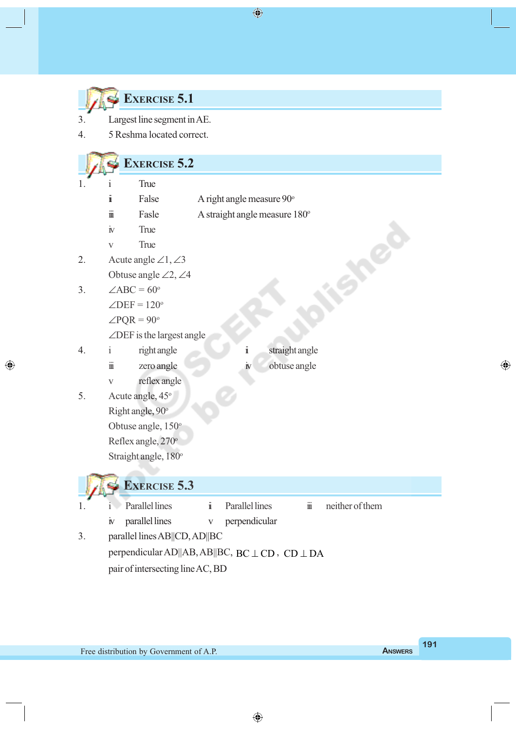| <b>EXERCISE 5.1</b> |  |
|---------------------|--|
|                     |  |

 $\bigcirc$ 

- 3. Largest line segment in AE.
- 4. 5 Reshma located correct.

# **EXERCISE** 5.2

| 1. | i                         | True                                           |                     |                               |                |                                 |                 |
|----|---------------------------|------------------------------------------------|---------------------|-------------------------------|----------------|---------------------------------|-----------------|
|    | $\ddot{\mathbf{i}}$       | False                                          |                     | A right angle measure 90°     |                |                                 |                 |
|    | $\dddot{\text{m}}$        | Fasle                                          |                     | A straight angle measure 180° |                |                                 |                 |
|    | $\rm \dot{N}$             | True                                           |                     |                               |                |                                 |                 |
|    | $\mathbf{V}$              | True                                           |                     |                               |                |                                 |                 |
| 2. |                           | Acute angle $\angle 1, \angle 3$               |                     |                               |                |                                 |                 |
|    |                           | Obtuse angle $\angle 2, \angle 4$              |                     |                               |                |                                 |                 |
| 3. |                           | $\angle ABC = 60^\circ$                        |                     |                               |                |                                 |                 |
|    |                           | $\angle$ DEF = 120 <sup>°</sup>                |                     |                               |                |                                 |                 |
|    |                           | $\angle$ PQR = 90°                             |                     |                               |                |                                 |                 |
|    |                           | $\angle$ DEF is the largest angle              |                     |                               |                |                                 |                 |
| 4. | Ť                         | right angle                                    |                     | ï                             | straight angle |                                 |                 |
|    | $\ddot{\mathbf{m}}$       | zero angle                                     |                     | $\dot{\mathbb{N}}$            | obtuse angle   |                                 |                 |
|    | $\boldsymbol{\mathrm{V}}$ | reflex angle                                   |                     |                               |                |                                 |                 |
| 5. |                           | Acute angle, 45°                               |                     |                               |                |                                 |                 |
|    |                           | Right angle, 90°                               |                     |                               |                |                                 |                 |
|    |                           | Obtuse angle, 150°                             |                     |                               |                |                                 |                 |
|    |                           | Reflex angle, 270°                             |                     |                               |                |                                 |                 |
|    |                           | Straight angle, 180°                           |                     |                               |                |                                 |                 |
|    |                           |                                                |                     |                               |                |                                 |                 |
|    |                           | <b>EXERCISE 5.3</b>                            |                     |                               |                |                                 |                 |
| 1. | $\mathbf{1}$              | <b>Parallel lines</b>                          | $\ddot{\mathbf{i}}$ | <b>Parallel lines</b>         |                | $\dddot{\overline{\text{III}}}$ | neither of them |
|    | $\dot{\mathbb{N}}$        | parallel lines                                 | $\mathbf{V}$        | perpendicular                 |                |                                 |                 |
| 3. |                           | parallel lines AB  CD, AD  BC                  |                     |                               |                |                                 |                 |
|    |                           | perpendicular AD  AB, AB  BC, BC ⊥ CD, CD ⊥ DA |                     |                               |                |                                 |                 |
|    |                           | pair of intersecting line AC, BD               |                     |                               |                |                                 |                 |

 $\bigoplus$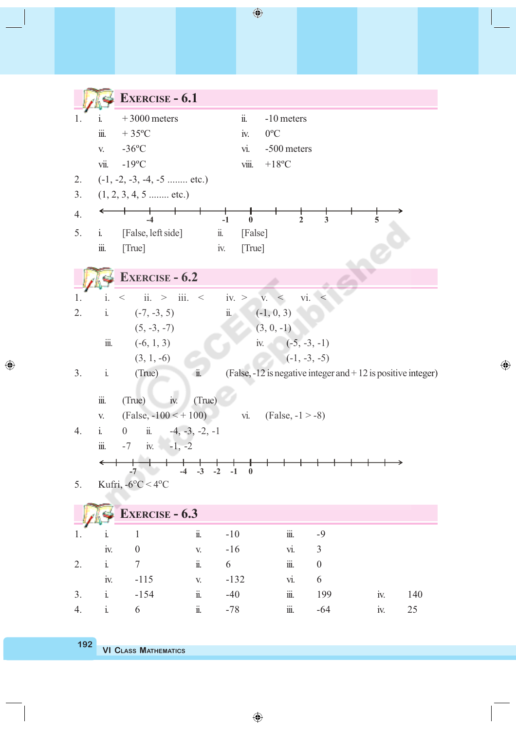|    |                           | <b>EXERCISE - 6.1</b>                                                                                    |                                     |                        |                           |                  |                                                              |     |
|----|---------------------------|----------------------------------------------------------------------------------------------------------|-------------------------------------|------------------------|---------------------------|------------------|--------------------------------------------------------------|-----|
| 1. | 1.                        | $+3000$ meters                                                                                           |                                     | $\dddot{\mathbb{I}}$ . | -10 meters                |                  |                                                              |     |
|    | $\dddot{\text{III}}.$     | $+35^{\circ}$ C                                                                                          |                                     | iv.                    | $0^{\circ}C$              |                  |                                                              |     |
|    | V.                        | $-36$ °C                                                                                                 |                                     | vi.                    | -500 meters               |                  |                                                              |     |
|    | vii.                      | $-19^{\circ}$ C                                                                                          |                                     | viii.                  | $+18$ °C                  |                  |                                                              |     |
| 2. |                           | $(-1, -2, -3, -4, -5$ etc.)                                                                              |                                     |                        |                           |                  |                                                              |     |
| 3. |                           | $(1, 2, 3, 4, 5 \dots \dots \text{etc.})$                                                                |                                     |                        |                           |                  |                                                              |     |
| 4. |                           | $\begin{array}{c c} \hline \text{ } & \text{ } \\ \hline \text{ } & \text{ } \\ \text{-4} & \end{array}$ | $\overline{1}$ -1                   | $\boldsymbol{0}$       | $\overline{2}$            | 3                | 5                                                            |     |
| 5. | $\ddot{i}$ .              | [False, left side]                                                                                       | $\ddot{\mathbf{n}}$ .               | [False]                |                           |                  |                                                              |     |
|    | $\stackrel{}{\text{III}}$ | [True]                                                                                                   | iv.                                 | [True]                 |                           |                  |                                                              |     |
|    |                           |                                                                                                          |                                     |                        |                           |                  |                                                              |     |
|    |                           | <b>EXERCISE - 6.2</b>                                                                                    |                                     |                        |                           |                  |                                                              |     |
| 1. | $\mathbf{i}$ .            | ii. $>$ iii. $<$ iv. $>$<br>$<\,$                                                                        |                                     |                        | V. <                      | vi.<br>$\,<\,$   |                                                              |     |
| 2. | $\mathbf{i}$              | $(-7, -3, 5)$                                                                                            |                                     | $\ddot{\mathbf{n}}$    | $(-1, 0, 3)$              |                  |                                                              |     |
|    |                           | $(5, -3, -7)$                                                                                            |                                     |                        | $(3, 0, -1)$              |                  |                                                              |     |
|    | $\dddot{\mathbf{m}}$ .    | $(-6, 1, 3)$                                                                                             |                                     |                        | iv. $(-5, -3, -1)$        |                  |                                                              |     |
|    |                           | $(3, 1, -6)$                                                                                             |                                     |                        |                           | $(-1, -3, -5)$   |                                                              |     |
| 3. | $\mathbf{i}$              | (True)                                                                                                   | $\ddot{\mathbf{u}}$ .               |                        |                           |                  | (False, -12 is negative integer and +12 is positive integer) |     |
|    | $\dddot{\mathbf{m}}$ .    | $\dot{I}$ v.                                                                                             |                                     |                        |                           |                  |                                                              |     |
|    |                           | (True)<br>$(False, -100 < +100)$                                                                         | (True)                              |                        | vi. $(False, -1 > -8)$    |                  |                                                              |     |
| 4. | V.<br>$\mathbf{i}$ .      | ii. $-4, -3, -2, -1$<br>$\boldsymbol{0}$                                                                 |                                     |                        |                           |                  |                                                              |     |
|    | $\dddot{\textrm{III}}.$   | $-7$ iv. $-1, -2$                                                                                        |                                     |                        |                           |                  |                                                              |     |
|    |                           |                                                                                                          |                                     |                        |                           |                  |                                                              |     |
|    |                           | $-7$<br>$-4$                                                                                             | $-3$<br>$-2$                        | $-1$<br>$\bf{0}$       |                           |                  |                                                              |     |
| 5. |                           | Kufri, $-6^{\circ}$ C $<$ 4°C                                                                            |                                     |                        |                           |                  |                                                              |     |
|    |                           | <b>EXERCISE - 6.3</b>                                                                                    |                                     |                        |                           |                  |                                                              |     |
|    |                           |                                                                                                          |                                     |                        |                           |                  |                                                              |     |
| 1. | 1.                        | $\mathbf{1}$                                                                                             | $\ddot{\text{n}}$<br>$-10$          |                        | $\stackrel{}{\text{III}}$ | $-9$             |                                                              |     |
|    | iv.                       | $\boldsymbol{0}$                                                                                         | $-16$<br>$\mathbf{V}_{\pmb{\cdot}}$ |                        | vi.                       | $\mathfrak{Z}$   |                                                              |     |
| 2. | $\dot{\text{1}}$          | $\tau$                                                                                                   | $\ddot{\text{1}}$<br>6              |                        | $\stackrel{}{\text{III}}$ | $\boldsymbol{0}$ |                                                              |     |
|    | iv.                       | $-115$                                                                                                   | V.                                  | $-132$                 | vi.                       | 6                |                                                              |     |
| 3. | $\rm i$                   | $-154$                                                                                                   | $\dddot{\rm n}$<br>$-40$            |                        | $\dddot{\mathbf{m}}$ .    | 199              | iv.                                                          | 140 |
| 4. | $\dot{\text{1}}$          | 6                                                                                                        | $\dddot{\mathbf{u}}$ .<br>$-78$     |                        | $\dddot{\mathbb{II}}$ .   | $-64$            | iv.                                                          | 25  |
|    |                           |                                                                                                          |                                     |                        |                           |                  |                                                              |     |

 $\bigoplus$ 

**VI CLASS MATHEMATICS 192**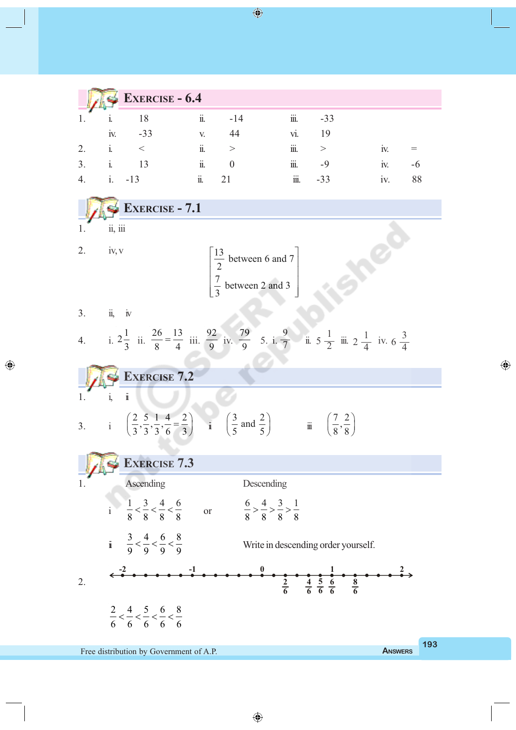|              | <b>EXERCISE - 6.4</b> |         |          |                  |          |     |    |
|--------------|-----------------------|---------|----------|------------------|----------|-----|----|
|              |                       | <br>11. | $-14$    | $\cdots$<br>111. | $-33$    |     |    |
| <b>IV.</b>   | $-33$                 | V.      | 44       | VI.              | 19       |     |    |
|              |                       | ii.     | >        | $\cdots$<br>111. | $\rm{>}$ | 1V. |    |
| $\mathbf{1}$ | 13                    | ii.     | $\theta$ | $\cdots$<br>111. | -9       | 1V. | -6 |
|              | $-13$                 | 11.     | 2 I      | $\cdots$<br>111. | $-33$    | 1V. | 88 |

**EXERCISE - 7.1** Shee  $1.$   $ii, iii$ 2. iv, v  $\begin{bmatrix} 13 \\ 2 \end{bmatrix}$  between 6 and 7  $\begin{bmatrix} 13 & 1 \end{bmatrix}$  $\frac{1}{2}$  between 6 and  $\frac{7}{2}$ 2  $\frac{7}{2}$  between 2 and 3  $\left[3\right]$ <sup>0</sup> 3 3. ii, iv  $2\frac{1}{2}$ 26 13  $\frac{26}{8} = \frac{13}{4}$  iii.  $\frac{92}{9}$ 79 9 1  $\frac{9}{9}$  5. i.  $\frac{9}{7}$  ii. 5  $\frac{1}{2}$  iii. 2  $\frac{1}{4}$  iv. 3 4. i.  $\frac{1}{3}$  ii.  $\frac{1}{9}$  iv.  $rac{1}{2}$  $2\frac{1}{4}$  $6\frac{2}{4}$ 7 **EXERCISE 7.2** 1.  $i, ii$  $\left(\frac{2}{3}, \frac{5}{3}, \frac{1}{3}, \frac{4}{6} = \frac{2}{3}\right)$  ii  $\left(\frac{3}{5} \text{ and } \frac{2}{5}\right)$   $\qquad \qquad \text{ii} \quad \left(\frac{7}{8}, \frac{2}{8}\right)$  $\left(\frac{7}{8}, \frac{2}{8}\right)$  $\frac{2}{2}, \frac{5}{2}, \frac{1}{2}, \frac{4}{2} = \frac{2}{2}$  $\frac{3}{2}$  and  $\frac{2}{5}$ 3. i **EXERCISE 7.3** Ascending Descending  $1 \quad 3 \quad 4 \quad 6$  $\frac{1}{8} < \frac{3}{8} < \frac{4}{8} < \frac{6}{8}$  or  $\frac{6}{8} > \frac{4}{8} > \frac{3}{8} > \frac{1}{8}$  $> \xrightarrow{4} > \xrightarrow{3} >$ i 8 8 8 8  $3 \t3 \t4 \t6 \t8$ Write in descending order yourself. ii 9 9 9 9 **-2 -1 0 1 2**  $\frac{1}{\frac{8}{6}}$ 2.  $\frac{2}{4} \frac{4}{5} \frac{5}{6} \frac{6}{8}$ **2 4 5 6 6 6 6**  $2 \t-4 \t-5 \t-6 \t-8$  $\lt$   $\lt$   $\lt$   $\lt$   $\lt$ 6 6 6 6 6

Free distribution by Government of A.P. **A** NSWERS

◈

**193**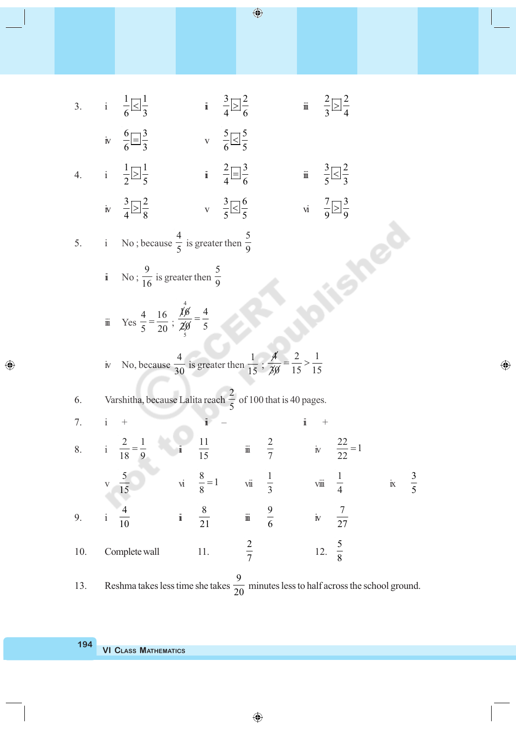$1 \square$ <sup>1</sup>  $3\Box$ <sup>2</sup>  $\frac{3}{4}$   $\geq \frac{2}{6}$  iii  $\frac{2}{3}$   $\geq \frac{2}{4}$  $>$ 3. i  $\frac{1}{6}$  |  $\leq$  |  $\frac{1}{3}$  i  $3 - 4$  $6\Box$ 3  $\frac{6}{6}$   $\equiv$   $\frac{3}{3}$  v  $\frac{5}{6}$   $\leq$   $\frac{5}{5}$ iv  $^{-1}$  $\leq$   $^{-1}$  $1\Box 1$  $\frac{1}{2}$   $\boxed{)}\frac{1}{5}$  i  $\frac{2}{4}$   $\boxed{)}\frac{3}{6}$  $\frac{2}{4}$  =  $\frac{3}{6}$  iii  $\frac{3}{5}$   $\leq \frac{2}{3}$ 4. i  $\frac{1}{5}$  $\leq$  $\frac{1}{3}$  $3\Box$  2  $\frac{3}{4}$   $\geq \frac{2}{8}$  v  $\frac{3}{5}$   $\leq \frac{6}{5}$  $7\Box$ 3  $\overline{)}$ iv  $\leq \frac{1}{5}$  vi  $5 - 5$  $9 - 9$ 4 5 5. i No ; because  $\frac{1}{5}$  is greater then 9 **SO** 9 5 ii No ;  $\frac{1}{16}$  is greater then 9 4  $\chi$ <sub>6</sub> 4 4 16  $=$  $\frac{4}{5} = \frac{10}{20}$ ; iii Yes 20 5 5  $\cancel{4}$  2 1 4 1  $=\stackrel{2}{\longrightarrow}$ iv No, because  $\frac{1}{30}$  is greater then  $\frac{1}{15}$ ; 30 15 15 2 6. Varshitha, because Lalita reach  $\frac{1}{5}$  of 100 that is 40 pages. 7. i + ii – ii +  $\frac{2}{18} = \frac{1}{9}$  i  $\frac{11}{15}$ 2 1  $\frac{2}{7}$  iv  $\frac{22}{22} = 1$ 2  $=$ 8. i  $\frac{1}{15}$  iii 22 5  $\frac{8}{9} = 1$  $\frac{8}{8} = 1$  vii  $\frac{1}{3}$ 1 3 v  $\frac{1}{15}$  vi  $\frac{1}{3}$  viii ix 4 5 4 8 9 7 9. i  $\frac{1}{10}$  i  $\frac{1}{21}$  iii  $\frac{1}{6}$  iv 27 2 5 10. Complete wall 11. 12. 7 8 9

◈

 $\bigoplus$ 

13. Reshma takes less time she takes  $\frac{1}{20}$  minutes less to half across the school ground.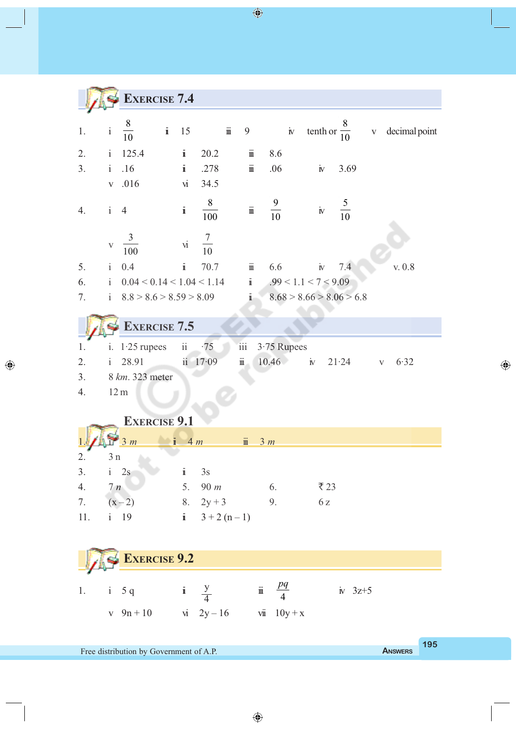

◈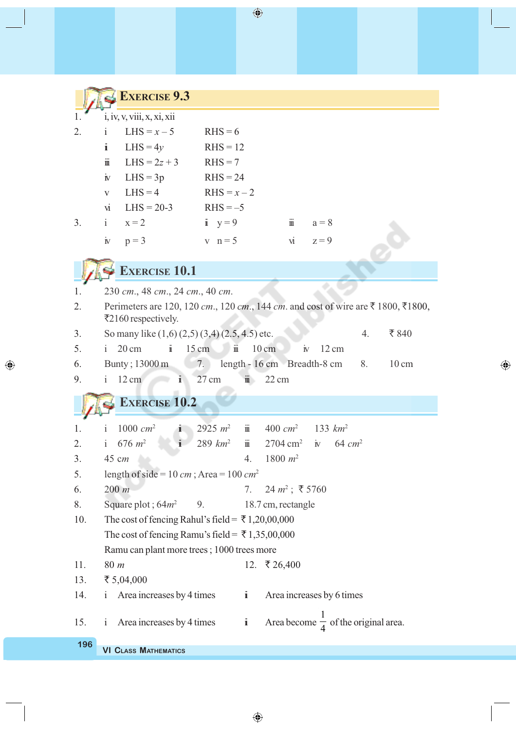|     | <b>EXERCISE 9.3</b>                                                                                      |                                        |                             |                                                 |                       |  |
|-----|----------------------------------------------------------------------------------------------------------|----------------------------------------|-----------------------------|-------------------------------------------------|-----------------------|--|
|     | i, iv, v, viii, x, xi, xii                                                                               |                                        |                             |                                                 |                       |  |
| 2.  | i<br>LHS = $x - 5$                                                                                       | $RHS = 6$                              |                             |                                                 |                       |  |
|     | i<br>LHS = $4y$                                                                                          | $RHS = 12$                             |                             |                                                 |                       |  |
|     | $\ddot{\mathbb{I}}$<br>LHS = $2z + 3$                                                                    | $RHS = 7$                              |                             |                                                 |                       |  |
|     | $LHS = 3p$<br>$\mathbf{N}$                                                                               | $RHS = 24$                             |                             |                                                 |                       |  |
|     | $LHS = 4$<br>$\mathbf{V}$                                                                                | $RHS = x - 2$                          |                             |                                                 |                       |  |
|     | $LHS = 20-3$<br>$\overline{M}$                                                                           | $RHS = -5$                             |                             |                                                 |                       |  |
| 3.  | $\mathbf{i}$<br>$x = 2$                                                                                  | $\mathbf{i} \quad \mathbf{y} = 9$      | $\ddot{\mathbb{I}}$         | $a = 8$                                         |                       |  |
|     | $\rm \dot{I} \! \dot{V}$<br>$p = 3$                                                                      | $v \quad n=5$                          | $\dot{M}$                   | $z = 9$                                         |                       |  |
|     | <b>EXERCISE 10.1</b>                                                                                     |                                        |                             |                                                 |                       |  |
| 1.  | 230 ст., 48 ст., 24 ст., 40 ст.                                                                          |                                        |                             |                                                 |                       |  |
| 2.  | Perimeters are 120, 120 cm., 120 cm., 144 cm. and cost of wire are ₹ 1800, ₹1800,<br>₹2160 respectively. |                                        |                             |                                                 |                       |  |
| 3.  | So many like $(1,6)$ $(2,5)$ $(3,4)$ $(2.5, 4.5)$ etc.                                                   |                                        |                             |                                                 | ₹840<br>4.            |  |
| 5.  | $20 \text{ cm}$<br>Ť.<br>$\mathbf{1}$                                                                    | $15 \text{ cm}$<br>$\ddot{\mathbb{I}}$ | $10 \text{ cm}$             | $12 \text{ cm}$<br>$\dot{\mathbb{N}}$           |                       |  |
| 6.  | Bunty; 13000 m                                                                                           | 7.                                     | length - 16 cm Breadth-8 cm |                                                 | 8.<br>$10 \text{ cm}$ |  |
| 9.  | $12 \text{ cm}$<br>$\mathbf{i}$<br>$\mathbf{1}$                                                          | 27 cm<br>$\dddot{\mathbb{I}}$          | $22 \text{ cm}$             |                                                 |                       |  |
|     | <b>EXERCISE 10.2</b>                                                                                     |                                        |                             |                                                 |                       |  |
| 1.  | $1000 \, cm^2$<br>i.<br>$\mathbf{1}$                                                                     | $\dddot{\mathbb{I}}$<br>2925 $m^2$     | $400 \, cm^2$               | 133 $km^2$                                      |                       |  |
| 2.  | i 676 $m^2$<br>$\mathbf{i}$                                                                              | $289$ $km^2$<br>$\ddot{\mathbf{m}}$    | $2704 \text{ cm}^2$         | $\rm \dot{I}$<br>$64 \text{ cm}^2$              |                       |  |
| 3.  | 45 cm                                                                                                    | 4.                                     | $1800 m^2$                  |                                                 |                       |  |
| 5.  | length of side = $10 \text{ cm}$ ; Area = $100 \text{ cm}^2$                                             |                                        |                             |                                                 |                       |  |
| 6.  | $200 \; m$                                                                                               | 7.                                     | $24 m^2$ ; ₹ 5760           |                                                 |                       |  |
| 8.  | Square plot; $64m^2$ 9.                                                                                  |                                        | 18.7 cm, rectangle          |                                                 |                       |  |
| 10. | The cost of fencing Rahul's field = $\overline{\xi}$ 1,20,00,000                                         |                                        |                             |                                                 |                       |  |
|     | The cost of fencing Ramu's field = $\overline{\xi}$ 1,35,00,000                                          |                                        |                             |                                                 |                       |  |
|     | Ramu can plant more trees; 1000 trees more                                                               |                                        |                             |                                                 |                       |  |
| 11. | 80 m                                                                                                     |                                        | 12. ₹ 26,400                |                                                 |                       |  |
| 13. | ₹ $5,04,000$                                                                                             | $\ddot{\mathbf{i}}$                    |                             |                                                 |                       |  |
| 14. | Area increases by 4 times<br>$\mathbf{i}$                                                                |                                        |                             | Area increases by 6 times                       |                       |  |
| 15. | Area increases by 4 times<br>$\mathbf{i}$                                                                | $\ddot{\mathbf{l}}$                    |                             | Area become $\frac{1}{4}$ of the original area. |                       |  |
| 196 | <b>VI CLASS MATHEMATICS</b>                                                                              |                                        |                             |                                                 |                       |  |

 $\bigoplus$ 

 $\bigoplus$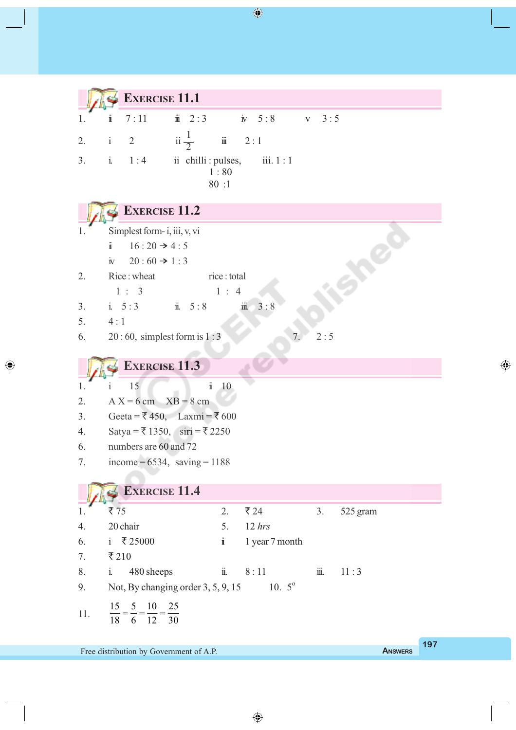**EXERCISE 11.1** 1. **i** 7:11 **ii** 2:3 **iv** 5:8 **v** 3:5 2. i 2 ii $\frac{1}{2}$  iii 2:1 23. i.  $1:4$  ii chilli : pulses, iii.  $1:1$  1 : 80 80 :1 **EXERCISE 11.2 Accord** 1. Simplest form- i, iii, v, vi i  $16 : 20 \rightarrow 4 : 5$ iv  $20 : 60 \rightarrow 1 : 3$ 2. Rice: wheat rice: total  $1 : 3$  1 : 4 3. i. 5:3 ii. 5:8 iii. 3:8 5.  $4:1$ 6. 20:60, simplest form is  $1:3$  7. 2:5 **EXERCISE 11.3** 1. i 15 ii 10 2. A  $X = 6$  cm  $XB = 8$  cm 3. Geeta =  $\bar{x}$  450, Laxmi =  $\bar{x}$  600 4. Satya =  $\overline{5}$  1350, siri =  $\overline{5}$  2250 6. numbers are 60 and 72 7. income =  $6534$ , saving =  $1188$ **EXERCISE 11.4** 1.  $\overline{7} 75$  2.  $\overline{7} 24$  3. 525 gram 4. 20 chair 5. 12 *hrs* 6. i  $\bar{x}$  25000 i 1 year 7 month 7.  $\overline{2}210$ 8. i. 480 sheeps ii. 8:11 iii. 11:3 9. Not, By changing order  $3, 5, 9, 15$  10.  $5^{\circ}$ 15 5 10 25  $=$ 11. 18 6 12 30

 $\bigoplus$ 

◈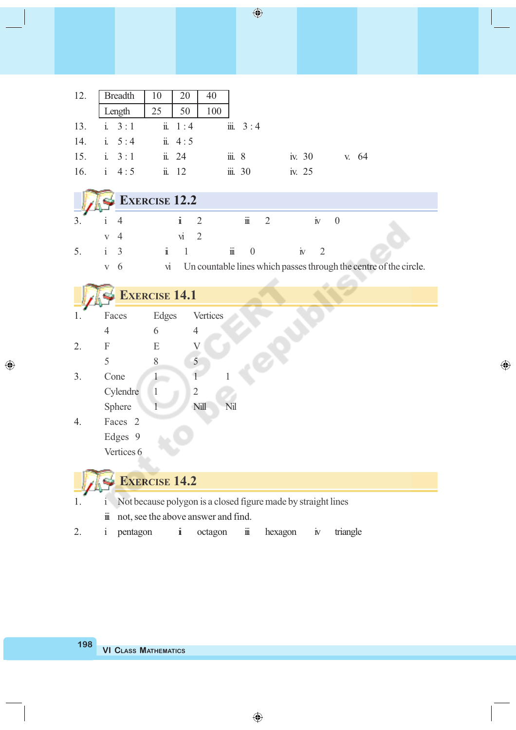|                     | 12.   Breadth   $10$   $20$                                                                            | $\vert$ 40                        |          |       |
|---------------------|--------------------------------------------------------------------------------------------------------|-----------------------------------|----------|-------|
|                     | Length $\begin{array}{ c c c } \hline \end{array}$ 1 25 $\begin{array}{ c c c } \hline \end{array}$ 50 | 100                               |          |       |
|                     |                                                                                                        | 13. i. $3:1$ ii. $1:4$ iii. $3:4$ |          |       |
|                     | 14. i. $5:4$ ii. $4:5$                                                                                 |                                   |          |       |
| 15. i. $3:1$ ii. 24 |                                                                                                        | $\dddot{m}$ , 8                   | iv. $30$ | v. 64 |
| 16. i $4:5$ ii. 12  |                                                                                                        | $\dddot{\mathbf{m}}$ . 30         | iv. 25   |       |

|   |                 | $\blacktriangleright$ EXERCISE 12.2 |   |                           |                      |     |              |  |                                                                   |
|---|-----------------|-------------------------------------|---|---------------------------|----------------------|-----|--------------|--|-------------------------------------------------------------------|
|   |                 |                                     |   | $\mathbf{u}$              |                      | 111 |              |  |                                                                   |
|   |                 |                                     |   | $\mathbf{V}$              |                      |     |              |  |                                                                   |
| 5 | $\frac{1}{1}$ 3 |                                     |   | $\mathbf{1}$ $\mathbf{1}$ | $\dddot{\mathbf{m}}$ |     | $\mathbf{N}$ |  |                                                                   |
|   | $\mathbf{V}$    | - 6                                 | М |                           |                      |     |              |  | Un countable lines which passes through the centre of the circle. |

|    |                     | <b>EXERCISE 14.1</b> |                                                               |                   |         |                    |          |  |
|----|---------------------|----------------------|---------------------------------------------------------------|-------------------|---------|--------------------|----------|--|
| 1. | Faces               | Edges                | Vertices                                                      |                   |         |                    |          |  |
|    | $\overline{4}$      | 6                    | $\overline{4}$                                                |                   |         |                    |          |  |
| 2. | F                   | E                    | $\rm V$                                                       |                   |         |                    |          |  |
|    | 5                   | 8                    | 5                                                             |                   |         |                    |          |  |
| 3. | Cone                |                      |                                                               |                   |         |                    |          |  |
|    | Cylendre            | $\mathbf{1}$         | $\overline{2}$                                                |                   |         |                    |          |  |
|    | Sphere              |                      | Nill<br>Nil                                                   |                   |         |                    |          |  |
| 4. | Faces <sub>2</sub>  |                      |                                                               |                   |         |                    |          |  |
|    | Edges 9             |                      |                                                               |                   |         |                    |          |  |
|    | Vertices 6          |                      |                                                               |                   |         |                    |          |  |
|    |                     |                      |                                                               |                   |         |                    |          |  |
|    |                     | <b>EXERCISE 14.2</b> |                                                               |                   |         |                    |          |  |
| 1. | 1                   |                      | Not because polygon is a closed figure made by straight lines |                   |         |                    |          |  |
|    | $\ddot{\mathbf{m}}$ |                      | not, see the above answer and find.                           |                   |         |                    |          |  |
| 2. | pentagon<br>1       | $\mathbf{1}$         | octagon                                                       | $\ddot{\text{m}}$ | hexagon | $\dot{\mathbf{N}}$ | triangle |  |

 $\bigoplus$ 

 $\bigoplus$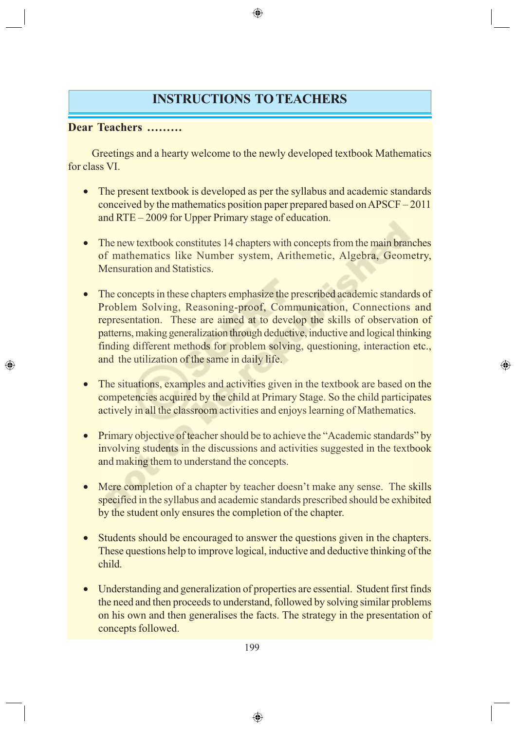## **INSTRUCTIONS TO TEACHERS**

⊕

#### **Dear Teachers ………**

◈

Greetings and a hearty welcome to the newly developed textbook Mathematics for class VI.

- The present textbook is developed as per the syllabus and academic standards conceived by the mathematics position paper prepared based on APSCF – 2011 and RTE – 2009 for Upper Primary stage of education.
- The new textbook constitutes 14 chapters with concepts from the main branches of mathematics like Number system, Arithemetic, Algebra, Geometry, Mensuration and Statistics.
- The concepts in these chapters emphasize the prescribed academic standards of Problem Solving, Reasoning-proof, Communication, Connections and representation. These are aimed at to develop the skills of observation of patterns, making generalization through deductive, inductive and logical thinking finding different methods for problem solving, questioning, interaction etc., and the utilization of the same in daily life.
- The situations, examples and activities given in the textbook are based on the competencies acquired by the child at Primary Stage. So the child participates actively in all the classroom activities and enjoys learning of Mathematics.

⊕

- Primary objective of teacher should be to achieve the "Academic standards" by involving students in the discussions and activities suggested in the textbook and making them to understand the concepts.
- Mere completion of a chapter by teacher doesn't make any sense. The skills specified in the syllabus and academic standards prescribed should be exhibited by the student only ensures the completion of the chapter.
- Students should be encouraged to answer the questions given in the chapters. These questions help to improve logical, inductive and deductive thinking of the child.
- Understanding and generalization of properties are essential. Student first finds the need and then proceeds to understand, followed by solving similar problems on his own and then generalises the facts. The strategy in the presentation of concepts followed.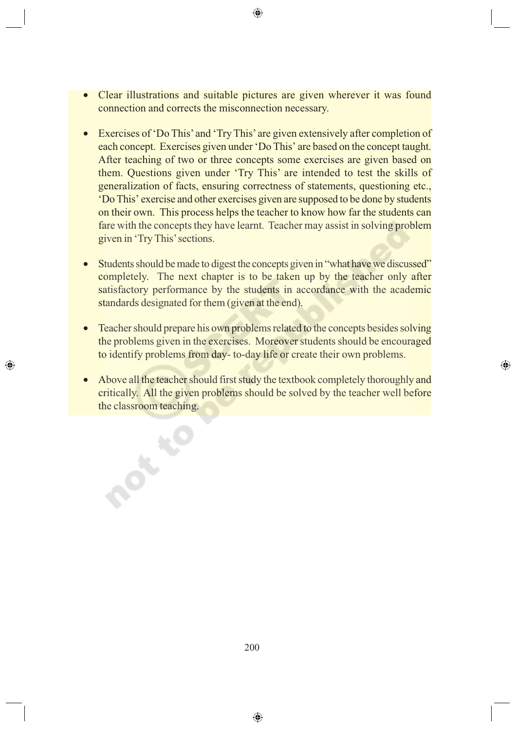- Clear illustrations and suitable pictures are given wherever it was found connection and corrects the misconnection necessary.
- Exercises of 'Do This' and 'Try This' are given extensively after completion of each concept. Exercises given under 'Do This' are based on the concept taught. After teaching of two or three concepts some exercises are given based on them. Questions given under 'Try This' are intended to test the skills of generalization of facts, ensuring correctness of statements, questioning etc., 'Do This' exercise and other exercises given are supposed to be done by students on their own. This process helps the teacher to know how far the students can fare with the concepts they have learnt. Teacher may assist in solving problem given in 'Try This' sections.
- Students should be made to digest the concepts given in "what have we discussed" completely. The next chapter is to be taken up by the teacher only after satisfactory performance by the students in accordance with the academic standards designated for them (given at the end).
- Teacher should prepare his own problems related to the concepts besides solving the problems given in the exercises. Moreover students should be encouraged to identify problems from day- to-day life or create their own problems.

⊕

◈

• Above all the teacher should first study the textbook completely thoroughly and critically. All the given problems should be solved by the teacher well before the classroom teaching.

**POLY**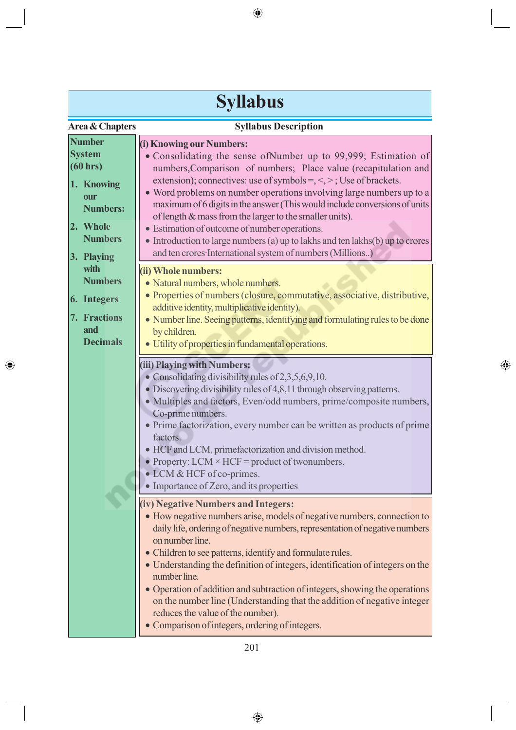|                                                                                                                                | <b>Syllabus</b>                                                                                                                                                                                                                                                                                                                                                                                                                                                                                                                                                                                                                                             |
|--------------------------------------------------------------------------------------------------------------------------------|-------------------------------------------------------------------------------------------------------------------------------------------------------------------------------------------------------------------------------------------------------------------------------------------------------------------------------------------------------------------------------------------------------------------------------------------------------------------------------------------------------------------------------------------------------------------------------------------------------------------------------------------------------------|
| Area & Chapters                                                                                                                | <b>Syllabus Description</b>                                                                                                                                                                                                                                                                                                                                                                                                                                                                                                                                                                                                                                 |
| <b>Number</b><br><b>System</b><br>(60 hrs)<br>1. Knowing<br>our<br><b>Numbers:</b><br>2. Whole<br><b>Numbers</b><br>3. Playing | (i) Knowing our Numbers:<br>• Consolidating the sense of Number up to 99,999; Estimation of<br>numbers, Comparison of numbers; Place value (recapitulation and<br>extension); connectives: use of symbols =, $\le$ , $>$ ; Use of brackets.<br>• Word problems on number operations involving large numbers up to a<br>maximum of 6 digits in the answer (This would include conversions of units<br>of length & mass from the larger to the smaller units).<br>• Estimation of outcome of number operations.<br>• Introduction to large numbers (a) up to lakhs and ten lakhs(b) up to crores<br>and ten crores·International system of numbers (Millions) |
| with<br><b>Numbers</b><br>6. Integers<br>7. Fractions<br>and<br><b>Decimals</b>                                                | (ii) Whole numbers:<br>• Natural numbers, whole numbers.<br>• Properties of numbers (closure, commutative, associative, distributive,<br>additive identity, multiplicative identity).<br>• Number line. Seeing patterns, identifying and formulating rules to be done<br>by children.<br>· Utility of properties in fundamental operations.                                                                                                                                                                                                                                                                                                                 |
|                                                                                                                                | (iii) Playing with Numbers:<br>• Consolidating divisibility rules of $2,3,5,6,9,10$ .<br>• Discovering divisibility rules of 4,8,11 through observing patterns.<br>• Multiples and factors, Even/odd numbers, prime/composite numbers,<br>Co-prime numbers.<br>• Prime factorization, every number can be written as products of prime<br>factors.<br>• HCF and LCM, primefactorization and division method.<br>• Property: LCM $\times$ HCF = product of twonumbers.<br>• LCM & HCF of co-primes.<br>• Importance of Zero, and its properties                                                                                                              |
|                                                                                                                                | (iv) Negative Numbers and Integers:<br>• How negative numbers arise, models of negative numbers, connection to<br>daily life, ordering of negative numbers, representation of negative numbers<br>on number line.<br>• Children to see patterns, identify and formulate rules.<br>• Understanding the definition of integers, identification of integers on the<br>number line.<br>• Operation of addition and subtraction of integers, showing the operations<br>on the number line (Understanding that the addition of negative integer<br>reduces the value of the number).<br>• Comparison of integers, ordering of integers.                           |

 $\bigoplus$ 

 $\bigoplus$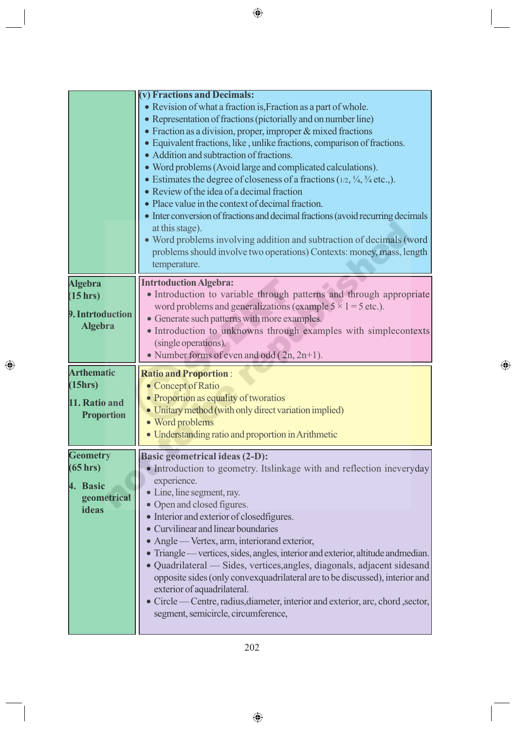|                                                                    | (v) Fractions and Decimals:<br>• Revision of what a fraction is, Fraction as a part of whole.<br>• Representation of fractions (pictorially and on number line)<br>• Fraction as a division, proper, improper & mixed fractions<br>• Equivalent fractions, like, unlike fractions, comparison of fractions.<br>• Addition and subtraction of fractions.<br>• Word problems (Avoid large and complicated calculations).<br>• Estimates the degree of closeness of a fractions $(1/2, \frac{1}{4}, \frac{3}{4}$ etc.,).<br>• Review of the idea of a decimal fraction |
|--------------------------------------------------------------------|---------------------------------------------------------------------------------------------------------------------------------------------------------------------------------------------------------------------------------------------------------------------------------------------------------------------------------------------------------------------------------------------------------------------------------------------------------------------------------------------------------------------------------------------------------------------|
|                                                                    | • Place value in the context of decimal fraction.<br>• Inter conversion of fractions and decimal fractions (avoid recurring decimals<br>at this stage).<br>• Word problems involving addition and subtraction of decimals (word<br>problems should involve two operations) Contexts: money, mass, length<br>temperature.                                                                                                                                                                                                                                            |
| <b>Algebra</b><br>(15 hr)<br>9. Intrtoduction<br><b>Algebra</b>    | <b>Intrtoduction Algebra:</b><br>• Introduction to variable through patterns and through appropriate<br>word problems and generalizations (example $5 \times 1 = 5$ etc.).<br>• Generate such patterns with more examples.<br>• Introduction to unknowns through examples with simplecontexts<br>(single operations).<br>• Number forms of even and odd $(2n, 2n+1)$ .                                                                                                                                                                                              |
|                                                                    |                                                                                                                                                                                                                                                                                                                                                                                                                                                                                                                                                                     |
| <b>Arthematic</b><br>(15hrs)<br>11. Ratio and<br><b>Proportion</b> | <b>Ratio and Proportion:</b><br>• Concept of Ratio<br>• Proportion as equality of tworatios<br>• Unitary method (with only direct variation implied)<br>· Word problems<br>• Understanding ratio and proportion in Arithmetic                                                                                                                                                                                                                                                                                                                                       |

 $\bigoplus$ 

 $\bigoplus$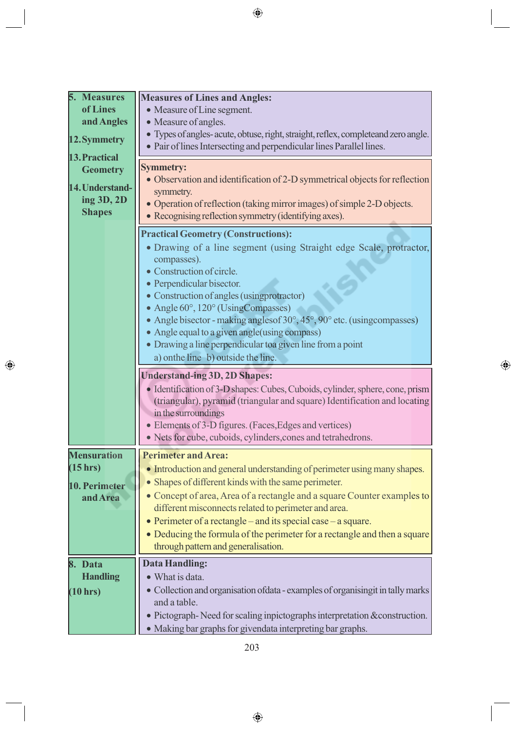| 5. Measures        | <b>Measures of Lines and Angles:</b>                                                                                                                       |
|--------------------|------------------------------------------------------------------------------------------------------------------------------------------------------------|
| of Lines           | • Measure of Line segment.                                                                                                                                 |
| and Angles         | • Measure of angles.                                                                                                                                       |
| 12. Symmetry       | · Types of angles- acute, obtuse, right, straight, reflex, completeand zero angle.<br>• Pair of lines Intersecting and perpendicular lines Parallel lines. |
| 13. Practical      |                                                                                                                                                            |
| <b>Geometry</b>    | <b>Symmetry:</b><br>• Observation and identification of 2-D symmetrical objects for reflection                                                             |
| 14. Understand-    | symmetry.                                                                                                                                                  |
| ing 3D, 2D         | • Operation of reflection (taking mirror images) of simple 2-D objects.                                                                                    |
| <b>Shapes</b>      | • Recognising reflection symmetry (identifying axes).                                                                                                      |
|                    |                                                                                                                                                            |
|                    | <b>Practical Geometry (Constructions):</b>                                                                                                                 |
|                    | • Drawing of a line segment (using Straight edge Scale, protractor,                                                                                        |
|                    | compasses).<br>• Construction of circle.                                                                                                                   |
|                    | • Perpendicular bisector.                                                                                                                                  |
|                    | • Construction of angles (using protractor)                                                                                                                |
|                    | • Angle 60°, 120° (UsingCompasses)                                                                                                                         |
|                    | • Angle bisector - making angles of $30^\circ$ , $45^\circ$ , $90^\circ$ etc. (using compasses)                                                            |
|                    | • Angle equal to a given angle (using compass)                                                                                                             |
|                    | • Drawing a line perpendicular to a given line from a point                                                                                                |
|                    | a) onthe line b) outside the line.                                                                                                                         |
|                    |                                                                                                                                                            |
|                    |                                                                                                                                                            |
|                    | <b>Understand-ing 3D, 2D Shapes:</b>                                                                                                                       |
|                    | • Identification of 3-D shapes: Cubes, Cuboids, cylinder, sphere, cone, prism                                                                              |
|                    | (triangular), pyramid (triangular and square) Identification and locating                                                                                  |
|                    | in the surroundings                                                                                                                                        |
|                    | • Elements of 3-D figures. (Faces, Edges and vertices)<br>• Nets for cube, cuboids, cylinders, cones and tetrahedrons.                                     |
|                    |                                                                                                                                                            |
| <b>Mensuration</b> | <b>Perimeter and Area:</b>                                                                                                                                 |
| (15 hrs)           | • Introduction and general understanding of perimeter using many shapes.                                                                                   |
| 10. Perimeter      | • Shapes of different kinds with the same perimeter.                                                                                                       |
| and Area           | • Concept of area, Area of a rectangle and a square Counter examples to                                                                                    |
|                    | different misconnects related to perimeter and area.                                                                                                       |
|                    | • Perimeter of a rectangle – and its special case – a square.                                                                                              |
|                    | • Deducing the formula of the perimeter for a rectangle and then a square                                                                                  |
|                    | through pattern and generalisation.                                                                                                                        |
| Data<br>8.         | <b>Data Handling:</b>                                                                                                                                      |
| <b>Handling</b>    | • What is data.                                                                                                                                            |
| (10 hrs)           | • Collection and organisation of data - examples of organising it in tally marks                                                                           |
|                    | and a table.                                                                                                                                               |
|                    | • Pictograph-Need for scaling inpictographs interpretation & construction.<br>• Making bar graphs for givendata interpreting bar graphs.                   |

 $\bigoplus$ 

 $\bigoplus$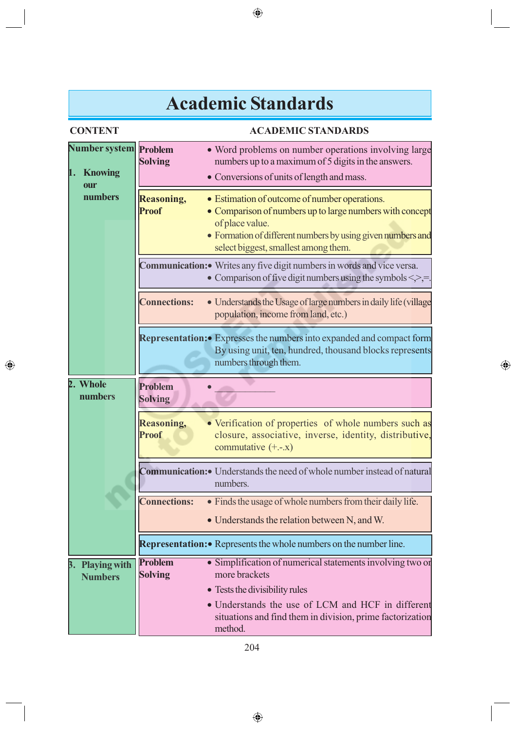# **Academic Standards**

 $\bigoplus$ 

| <b>CONTENT</b>                     |                                   | <b>ACADEMIC STANDARDS</b>                                                                                                                                                                                                           |
|------------------------------------|-----------------------------------|-------------------------------------------------------------------------------------------------------------------------------------------------------------------------------------------------------------------------------------|
| Number system<br>1. Knowing<br>our | Problem<br><b>Solving</b>         | • Word problems on number operations involving large<br>numbers up to a maximum of 5 digits in the answers.<br>• Conversions of units of length and mass.                                                                           |
| numbers                            | <b>Reasoning,</b><br><b>Proof</b> | • Estimation of outcome of number operations.<br>• Comparison of numbers up to large numbers with concept<br>of place value.<br>• Formation of different numbers by using given numbers and<br>select biggest, smallest among them. |
|                                    |                                   | Communication: • Writes any five digit numbers in words and vice versa.<br>• Comparison of five digit numbers using the symbols $\le$ >, =                                                                                          |
|                                    | <b>Connections:</b>               | • Understands the Usage of large numbers in daily life (village<br>population, income from land, etc.)                                                                                                                              |
|                                    |                                   | <b>Representation:</b> Expresses the numbers into expanded and compact form<br>By using unit, ten, hundred, thousand blocks represents<br>numbers through them.                                                                     |
| 2. Whole<br>numbers                | Problem<br><b>Solving</b>         |                                                                                                                                                                                                                                     |
|                                    | <b>Reasoning,</b><br><b>Proof</b> | • Verification of properties of whole numbers such as<br>closure, associative, inverse, identity, distributive,<br>commutative $(+,-x)$                                                                                             |
|                                    |                                   | <b>Communication:</b> Understands the need of whole number instead of natural<br>numbers.                                                                                                                                           |
|                                    | <b>Connections:</b>               | • Finds the usage of whole numbers from their daily life.<br>• Understands the relation between N, and W.                                                                                                                           |
|                                    |                                   | Representation: • Represents the whole numbers on the number line.                                                                                                                                                                  |
| 3. Playing with<br><b>Numbers</b>  | <b>Problem</b><br><b>Solving</b>  | • Simplification of numerical statements involving two or<br>more brackets<br>• Tests the divisibility rules                                                                                                                        |
|                                    |                                   | • Understands the use of LCM and HCF in different<br>situations and find them in division, prime factorization<br>method.                                                                                                           |

 $\bigoplus$ 

 $\bigoplus$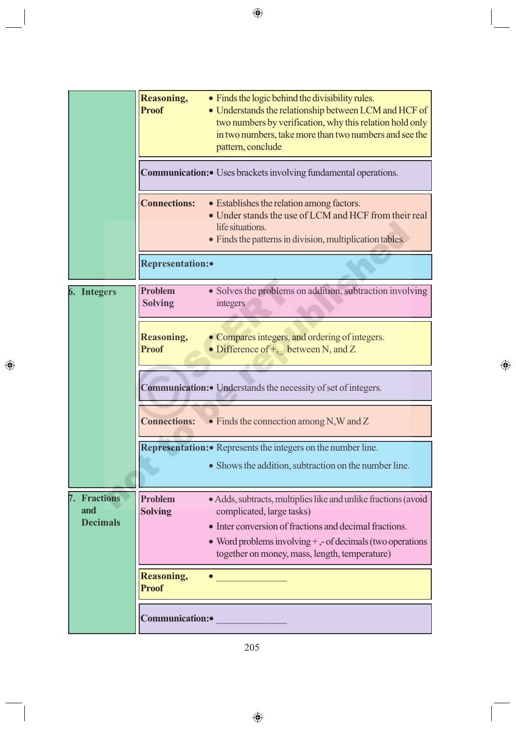|                                            | Reasoning,<br><b>Proof</b>        | • Finds the logic behind the divisibility rules.<br>• Understands the relationship between LCM and HCF of<br>two numbers by verification, why this relation hold only<br>in two numbers, take more than two numbers and see the<br>pattern, conclude<br><b>Communication:</b> Uses brackets involving fundamental operations. |  |  |  |
|--------------------------------------------|-----------------------------------|-------------------------------------------------------------------------------------------------------------------------------------------------------------------------------------------------------------------------------------------------------------------------------------------------------------------------------|--|--|--|
|                                            | <b>Connections:</b>               | • Establishes the relation among factors.<br>• Under stands the use of LCM and HCF from their real<br>life situations.<br>• Finds the patterns in division, multiplication tables.                                                                                                                                            |  |  |  |
|                                            | <b>Representation:</b>            |                                                                                                                                                                                                                                                                                                                               |  |  |  |
| 6. Integers                                | <b>Problem</b><br><b>Solving</b>  | • Solves the problems on addition, subtraction involving<br>integers                                                                                                                                                                                                                                                          |  |  |  |
|                                            | <b>Reasoning,</b><br><b>Proof</b> | • Compares integers, and ordering of integers.<br>• Difference of +, between N, and Z                                                                                                                                                                                                                                         |  |  |  |
|                                            |                                   | <b>Communication:</b> Understands the necessity of set of integers.                                                                                                                                                                                                                                                           |  |  |  |
|                                            | <b>Connections:</b>               | $\bullet$ Finds the connection among N,W and Z                                                                                                                                                                                                                                                                                |  |  |  |
|                                            |                                   | Representation: • Represents the integers on the number line.<br>• Shows the addition, subtraction on the number line.                                                                                                                                                                                                        |  |  |  |
| <b>Fractions</b><br>and<br><b>Decimals</b> | <b>Problem</b><br><b>Solving</b>  | • Adds, subtracts, multiplies like and unlike fractions (avoid<br>complicated, large tasks)<br>• Inter conversion of fractions and decimal fractions.<br>• Word problems involving $+$ , - of decimals (two operations<br>together on money, mass, length, temperature)                                                       |  |  |  |
|                                            | <b>Reasoning,</b><br><b>Proof</b> |                                                                                                                                                                                                                                                                                                                               |  |  |  |
|                                            | Communication:                    |                                                                                                                                                                                                                                                                                                                               |  |  |  |

 $\bigoplus$ 

 $\bigoplus$ 

205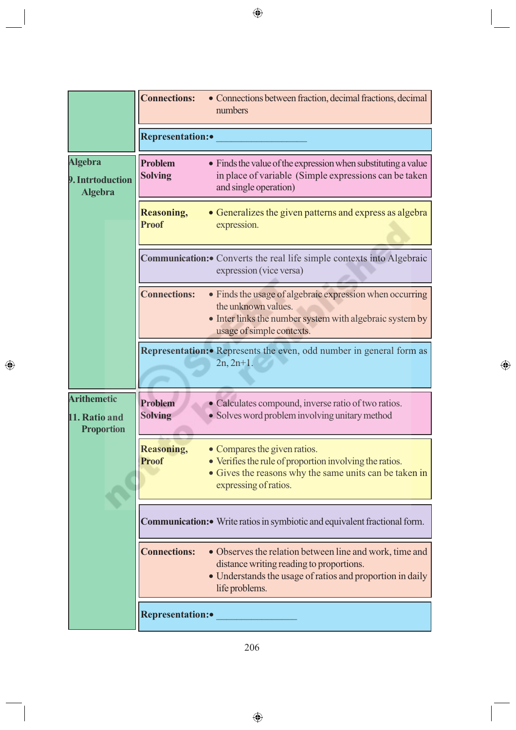|                                                          | <b>Connections:</b>               | • Connections between fraction, decimal fractions, decimal<br>numbers                                                                                                              |  |  |  |
|----------------------------------------------------------|-----------------------------------|------------------------------------------------------------------------------------------------------------------------------------------------------------------------------------|--|--|--|
|                                                          | <b>Representation:</b>            |                                                                                                                                                                                    |  |  |  |
| <b>Algebra</b><br>9. Intrtoduction<br><b>Algebra</b>     | <b>Problem</b><br><b>Solving</b>  | • Finds the value of the expression when substituting a value<br>in place of variable (Simple expressions can be taken<br>and single operation)                                    |  |  |  |
|                                                          | <b>Reasoning,</b><br><b>Proof</b> | • Generalizes the given patterns and express as algebra<br>expression.                                                                                                             |  |  |  |
|                                                          |                                   | Communication: • Converts the real life simple contexts into Algebraic<br>expression (vice versa)                                                                                  |  |  |  |
|                                                          | <b>Connections:</b>               | • Finds the usage of algebraic expression when occurring<br>the unknown values.<br>• Inter links the number system with algebraic system by<br>usage of simple contexts.           |  |  |  |
|                                                          |                                   | <b>Representation:</b> Represents the even, odd number in general form as<br>$2n, 2n+1.$                                                                                           |  |  |  |
| <b>Arithemetic</b><br>11. Ratio and<br><b>Proportion</b> | <b>Problem</b><br><b>Solving</b>  | • Calculates compound, inverse ratio of two ratios.<br>• Solves word problem involving unitary method                                                                              |  |  |  |
|                                                          | <b>Reasoning,</b><br><b>Proof</b> | • Compares the given ratios.<br>• Verifies the rule of proportion involving the ratios.<br>• Gives the reasons why the same units can be taken in<br>expressing of ratios.         |  |  |  |
|                                                          |                                   | Communication: • Write ratios in symbiotic and equivalent fractional form.                                                                                                         |  |  |  |
|                                                          | <b>Connections:</b>               | • Observes the relation between line and work, time and<br>distance writing reading to proportions.<br>• Understands the usage of ratios and proportion in daily<br>life problems. |  |  |  |
|                                                          | <b>Representation:</b>            |                                                                                                                                                                                    |  |  |  |

 $\bigoplus$ 

206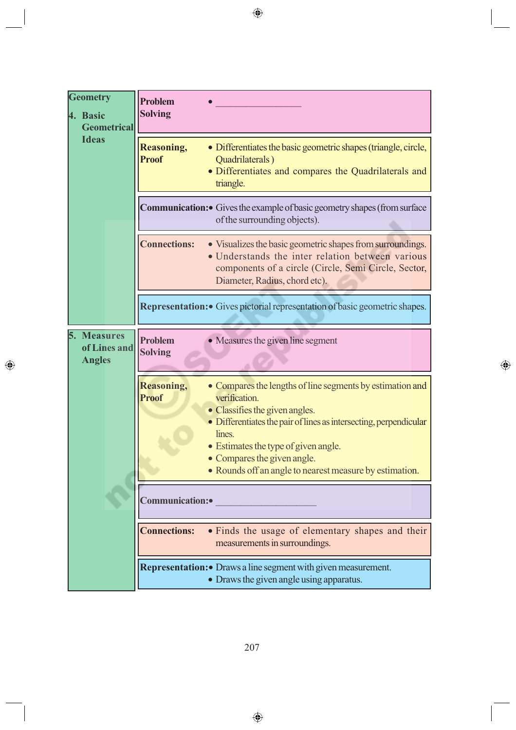| <b>Geometry</b><br>4. Basic<br><b>Geometrical</b><br><b>Ideas</b> | <b>Problem</b><br><b>Solving</b>  |                                                                                                                                                                                                                                                                                                                               |
|-------------------------------------------------------------------|-----------------------------------|-------------------------------------------------------------------------------------------------------------------------------------------------------------------------------------------------------------------------------------------------------------------------------------------------------------------------------|
|                                                                   | <b>Reasoning,</b><br><b>Proof</b> | • Differentiates the basic geometric shapes (triangle, circle,<br>Quadrilaterals)<br>• Differentiates and compares the Quadrilaterals and<br>triangle.                                                                                                                                                                        |
|                                                                   |                                   | <b>Communication:</b> Gives the example of basic geometry shapes (from surface<br>of the surrounding objects).                                                                                                                                                                                                                |
|                                                                   | <b>Connections:</b>               | • Visualizes the basic geometric shapes from surroundings.<br>• Understands the inter relation between various<br>components of a circle (Circle, Semi Circle, Sector,<br>Diameter, Radius, chord etc).                                                                                                                       |
|                                                                   |                                   | Representation: Gives pictorial representation of basic geometric shapes.                                                                                                                                                                                                                                                     |
| <b>Measures</b><br>5.<br>of Lines and<br><b>Angles</b>            | <b>Problem</b><br><b>Solving</b>  | • Measures the given line segment                                                                                                                                                                                                                                                                                             |
|                                                                   | <b>Reasoning,</b><br><b>Proof</b> | • Compares the lengths of line segments by estimation and<br>verification.<br>• Classifies the given angles.<br>• Differentiates the pair of lines as intersecting, perpendicular<br>lines.<br>• Estimates the type of given angle.<br>• Compares the given angle.<br>• Rounds off an angle to nearest measure by estimation. |
|                                                                   | Communication:                    |                                                                                                                                                                                                                                                                                                                               |
|                                                                   | <b>Connections:</b>               | • Finds the usage of elementary shapes and their<br>measurements in surroundings.                                                                                                                                                                                                                                             |
|                                                                   |                                   | Representation: • Draws a line segment with given measurement.<br>• Draws the given angle using apparatus.                                                                                                                                                                                                                    |

 $\bigcirc$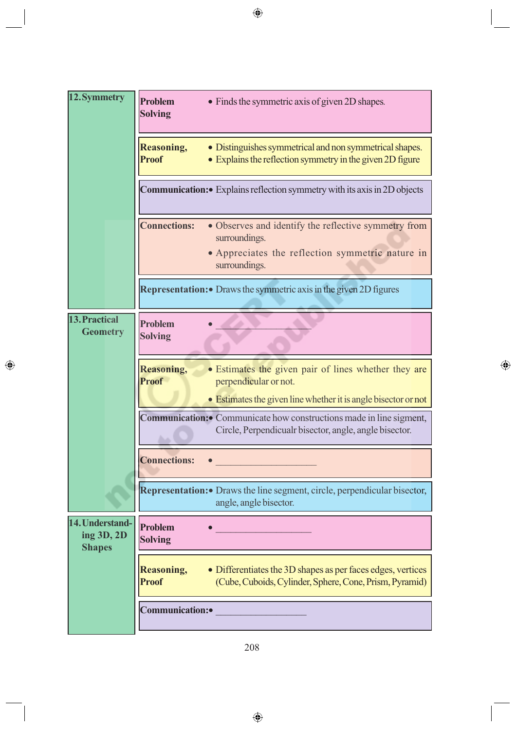| 12. Symmetry                                   | <b>Problem</b><br><b>Solving</b>  | • Finds the symmetric axis of given 2D shapes.                                                                                                  |  |  |  |
|------------------------------------------------|-----------------------------------|-------------------------------------------------------------------------------------------------------------------------------------------------|--|--|--|
|                                                | <b>Reasoning,</b><br><b>Proof</b> | • Distinguishes symmetrical and non symmetrical shapes.<br>• Explains the reflection symmetry in the given 2D figure                            |  |  |  |
|                                                |                                   | Communication: • Explains reflection symmetry with its axis in 2D objects                                                                       |  |  |  |
|                                                | <b>Connections:</b>               | • Observes and identify the reflective symmetry from<br>surroundings.<br>• Appreciates the reflection symmetric nature in<br>surroundings.      |  |  |  |
|                                                |                                   | <b>Representation:</b> Draws the symmetric axis in the given 2D figures                                                                         |  |  |  |
| 13. Practical<br><b>Geometry</b>               | Problem<br><b>Solving</b>         |                                                                                                                                                 |  |  |  |
|                                                | <b>Reasoning,</b><br><b>Proof</b> | • Estimates the given pair of lines whether they are<br>perpendicular or not.<br>• Estimates the given line whether it is angle bisector or not |  |  |  |
|                                                |                                   | Communication: • Communicate how constructions made in line sigment,<br>Circle, Perpendicualr bisector, angle, angle bisector.                  |  |  |  |
|                                                | <b>Connections:</b>               |                                                                                                                                                 |  |  |  |
|                                                |                                   | Representation: • Draws the line segment, circle, perpendicular bisector,<br>angle, angle bisector.                                             |  |  |  |
| 14. Understand-<br>ing 3D, 2D<br><b>Shapes</b> | Problem<br><b>Solving</b>         |                                                                                                                                                 |  |  |  |
|                                                | <b>Reasoning,</b><br><b>Proof</b> | • Differentiates the 3D shapes as per faces edges, vertices<br>(Cube, Cuboids, Cylinder, Sphere, Cone, Prism, Pyramid)                          |  |  |  |
|                                                | Communication:                    |                                                                                                                                                 |  |  |  |

 $\bigoplus$ 

 $\bigoplus$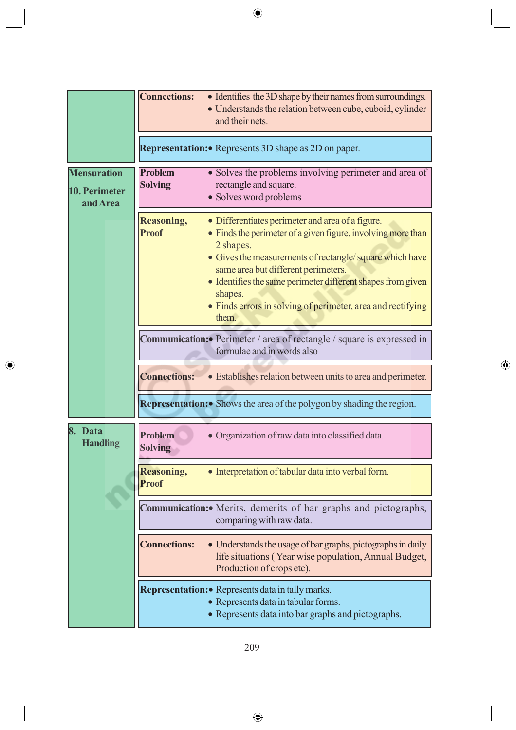|                                                 | <b>Connections:</b>                                        | • Identifies the 3D shape by their names from surroundings.<br>• Understands the relation between cube, cuboid, cylinder<br>and their nets.                                                                                                                                                                                                                                       |  |  |
|-------------------------------------------------|------------------------------------------------------------|-----------------------------------------------------------------------------------------------------------------------------------------------------------------------------------------------------------------------------------------------------------------------------------------------------------------------------------------------------------------------------------|--|--|
|                                                 | <b>Representation:</b> Represents 3D shape as 2D on paper. |                                                                                                                                                                                                                                                                                                                                                                                   |  |  |
| <b>Mensuration</b><br>10. Perimeter<br>and Area | <b>Problem</b><br><b>Solving</b>                           | • Solves the problems involving perimeter and area of<br>rectangle and square.<br>• Solves word problems                                                                                                                                                                                                                                                                          |  |  |
|                                                 | <b>Reasoning,</b><br><b>Proof</b>                          | • Differentiates perimeter and area of a figure.<br>• Finds the perimeter of a given figure, involving more than<br>2 shapes.<br>• Gives the measurements of rectangle/square which have<br>same area but different perimeters.<br>• Identifies the same perimeter different shapes from given<br>shapes.<br>• Finds errors in solving of perimeter, area and rectifying<br>them. |  |  |
|                                                 |                                                            | Communication: • Perimeter / area of rectangle / square is expressed in<br>formulae and in words also                                                                                                                                                                                                                                                                             |  |  |
|                                                 | <b>Connections:</b>                                        | • Establishes relation between units to area and perimeter.                                                                                                                                                                                                                                                                                                                       |  |  |
|                                                 |                                                            | Representation: • Shows the area of the polygon by shading the region.                                                                                                                                                                                                                                                                                                            |  |  |
| Data<br>8.<br><b>Handling</b>                   | <b>Problem</b><br><b>Solving</b>                           | · Organization of raw data into classified data.                                                                                                                                                                                                                                                                                                                                  |  |  |
|                                                 | <b>Reasoning,</b><br><b>Proof</b>                          | • Interpretation of tabular data into verbal form.                                                                                                                                                                                                                                                                                                                                |  |  |
|                                                 |                                                            | Communication: Merits, demerits of bar graphs and pictographs,<br>comparing with raw data.                                                                                                                                                                                                                                                                                        |  |  |
|                                                 | <b>Connections:</b>                                        | • Understands the usage of bar graphs, pictographs in daily<br>life situations (Year wise population, Annual Budget,<br>Production of crops etc).                                                                                                                                                                                                                                 |  |  |
|                                                 |                                                            | Representation: • Represents data in tally marks.<br>• Represents data in tabular forms.<br>• Represents data into bar graphs and pictographs.                                                                                                                                                                                                                                    |  |  |

 $\bigcirc$ 

209